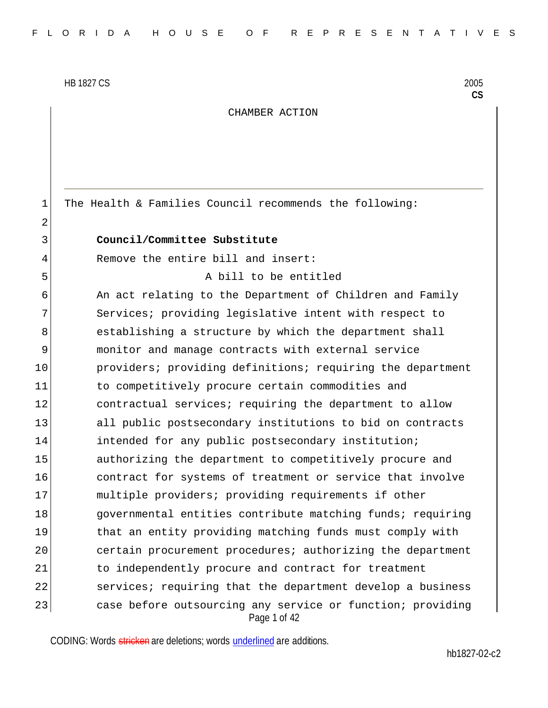2

CHAMBER ACTION

1 The Health & Families Council recommends the following:

#### 3 **Council/Committee Substitute**

4 Remove the entire bill and insert:

5 A bill to be entitled

Page 1 of 42 6 An act relating to the Department of Children and Family 7 Services; providing legislative intent with respect to 8 establishing a structure by which the department shall 9 monitor and manage contracts with external service 10 **providers;** providing definitions; requiring the department 11 11 to competitively procure certain commodities and 12 contractual services; requiring the department to allow 13 all public postsecondary institutions to bid on contracts 14 **intended for any public postsecondary institution;** 15 authorizing the department to competitively procure and 16 contract for systems of treatment or service that involve 17 multiple providers; providing requirements if other 18 governmental entities contribute matching funds; requiring 19 that an entity providing matching funds must comply with 20 certain procurement procedures; authorizing the department 21 11 to independently procure and contract for treatment 22 services; requiring that the department develop a business 23 case before outsourcing any service or function; providing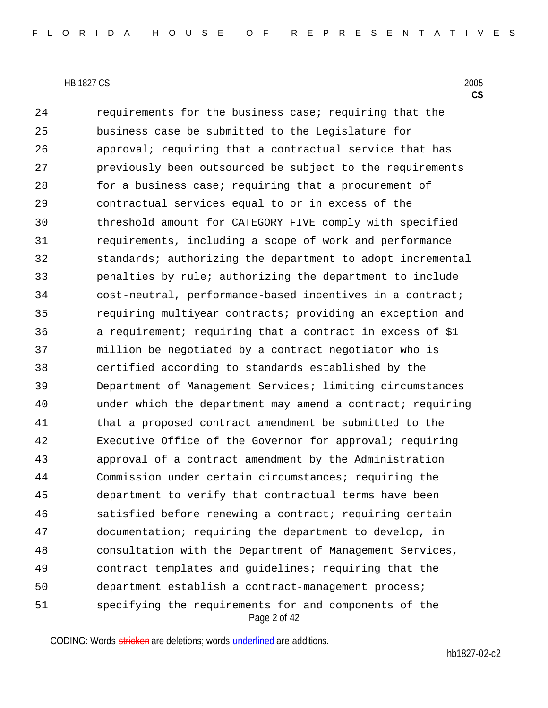Page 2 of 42 24 requirements for the business case; requiring that the business case be submitted to the Legislature for approval; requiring that a contractual service that has 27 previously been outsourced be subject to the requirements **for a business case; requiring that a procurement of**  contractual services equal to or in excess of the threshold amount for CATEGORY FIVE comply with specified requirements, including a scope of work and performance 32 standards; authorizing the department to adopt incremental penalties by rule; authorizing the department to include 34 cost-neutral, performance-based incentives in a contract; 35 requiring multiyear contracts; providing an exception and a requirement; requiring that a contract in excess of \$1 million be negotiated by a contract negotiator who is certified according to standards established by the Department of Management Services; limiting circumstances under which the department may amend a contract; requiring 41 that a proposed contract amendment be submitted to the 42 Executive Office of the Governor for approval; requiring 43 | approval of a contract amendment by the Administration Commission under certain circumstances; requiring the department to verify that contractual terms have been 46 satisfied before renewing a contract; requiring certain 47 documentation; requiring the department to develop, in consultation with the Department of Management Services, contract templates and guidelines; requiring that the department establish a contract-management process; specifying the requirements for and components of the

CODING: Words stricken are deletions; words underlined are additions.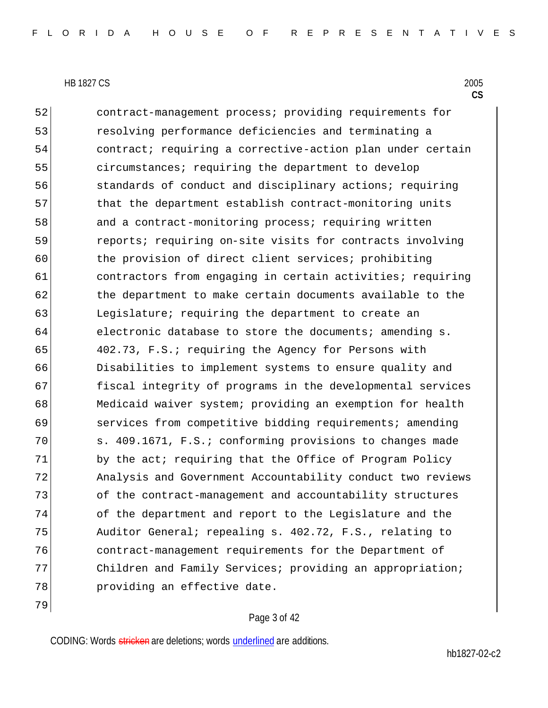79

52 contract-management process; providing requirements for 53 resolving performance deficiencies and terminating a 54 contract; requiring a corrective-action plan under certain 55 circumstances; requiring the department to develop 56 standards of conduct and disciplinary actions; requiring 57 bhat the department establish contract-monitoring units 58 and a contract-monitoring process; requiring written 59 reports; requiring on-site visits for contracts involving 60 the provision of direct client services; prohibiting 61 **contractors from engaging in certain activities; requiring** 62 the department to make certain documents available to the 63 Leqislature; requiring the department to create an 64 electronic database to store the documents; amending s. 65 402.73, F.S.; requiring the Agency for Persons with 66 Disabilities to implement systems to ensure quality and 67 fiscal integrity of programs in the developmental services 68 Medicaid waiver system; providing an exemption for health 69 services from competitive bidding requirements; amending 70 s. 409.1671, F.S.; conforming provisions to changes made 71 by the act; requiring that the Office of Program Policy 72 Analysis and Government Accountability conduct two reviews 73 of the contract-management and accountability structures 74 of the department and report to the Legislature and the 75 Auditor General; repealing s. 402.72, F.S., relating to 76 contract-management requirements for the Department of 77 Children and Family Services; providing an appropriation; 78 providing an effective date.

## Page 3 of 42

CODING: Words stricken are deletions; words underlined are additions.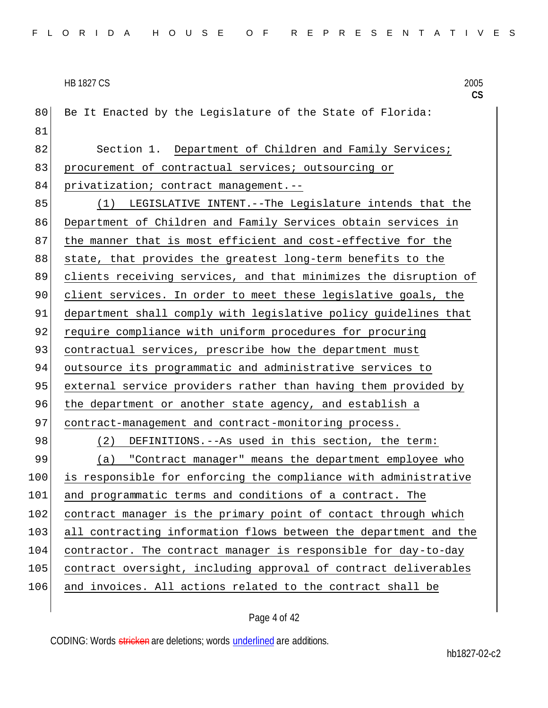80 Be It Enacted by the Legislature of the State of Florida: 81 82 Section 1. Department of Children and Family Services; 83 procurement of contractual services; outsourcing or 84 privatization; contract management.--85 (1) LEGISLATIVE INTENT.--The Legislature intends that the 86 Department of Children and Family Services obtain services in 87 | the manner that is most efficient and cost-effective for the 88 state, that provides the greatest long-term benefits to the 89 clients receiving services, and that minimizes the disruption of 90 client services. In order to meet these legislative goals, the 91 department shall comply with legislative policy guidelines that 92 require compliance with uniform procedures for procuring 93 contractual services, prescribe how the department must 94 outsource its programmatic and administrative services to 95 external service providers rather than having them provided by 96 the department or another state agency, and establish a 97 contract-management and contract-monitoring process. 98 (2) DEFINITIONS. --As used in this section, the term: 99 (a) "Contract manager" means the department employee who 100 is responsible for enforcing the compliance with administrative 101 and programmatic terms and conditions of a contract. The 102 contract manager is the primary point of contact through which 103 all contracting information flows between the department and the 104 contractor. The contract manager is responsible for day-to-day 105 contract oversight, including approval of contract deliverables 106 and invoices. All actions related to the contract shall be

Page 4 of 42

CODING: Words stricken are deletions; words underlined are additions.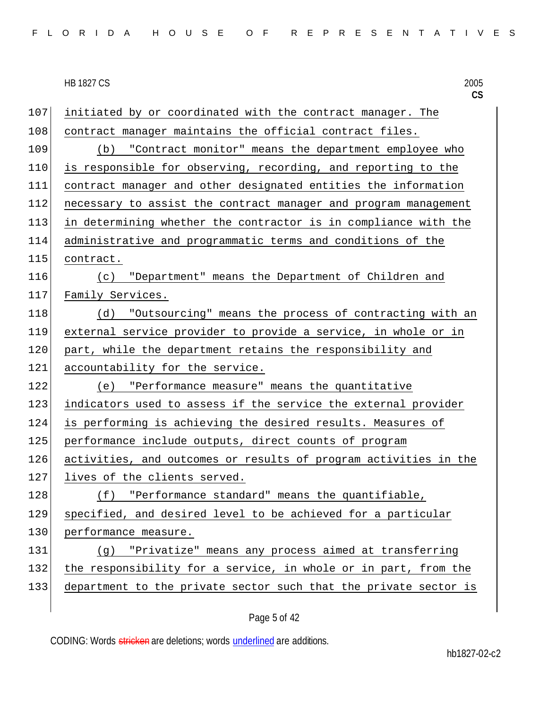107 initiated by or coordinated with the contract manager. The 108 contract manager maintains the official contract files. 109 (b) "Contract monitor" means the department employee who 110 is responsible for observing, recording, and reporting to the 111 contract manager and other designated entities the information 112 necessary to assist the contract manager and program management 113 in determining whether the contractor is in compliance with the 114 administrative and programmatic terms and conditions of the 115 contract. 116 (c) "Department" means the Department of Children and 117 Family Services. 118 (d) "Outsourcing" means the process of contracting with an 119 external service provider to provide a service, in whole or in 120 part, while the department retains the responsibility and 121 accountability for the service. 122 (e) "Performance measure" means the quantitative 123 indicators used to assess if the service the external provider 124 is performing is achieving the desired results. Measures of 125 performance include outputs, direct counts of program 126 activities, and outcomes or results of program activities in the 127 lives of the clients served. 128 (f) "Performance standard" means the quantifiable, 129 specified, and desired level to be achieved for a particular 130 performance measure. 131 (g) "Privatize" means any process aimed at transferring 132 the responsibility for a service, in whole or in part, from the 133 department to the private sector such that the private sector is

Page 5 of 42

CODING: Words stricken are deletions; words underlined are additions.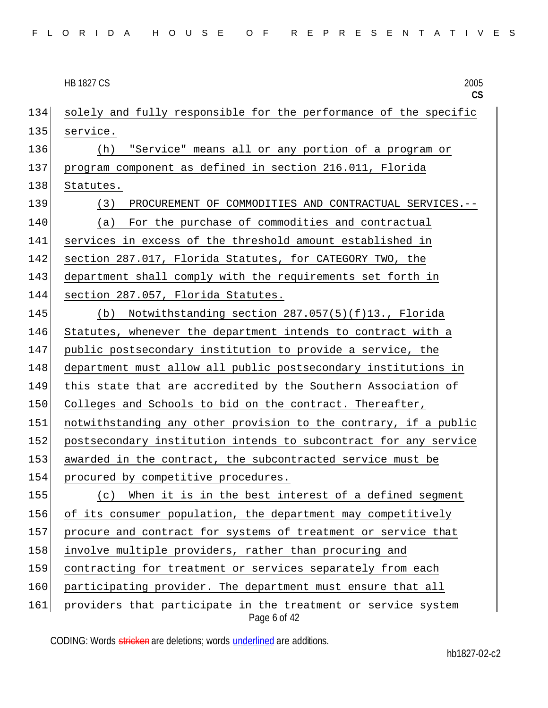|     | <b>HB 1827 CS</b><br>2005<br>CS                                               |
|-----|-------------------------------------------------------------------------------|
| 134 | solely and fully responsible for the performance of the specific              |
| 135 | service.                                                                      |
| 136 | "Service" means all or any portion of a program or<br>(h)                     |
| 137 | program component as defined in section 216.011, Florida                      |
| 138 | Statutes.                                                                     |
| 139 | (3)<br>PROCUREMENT OF COMMODITIES AND CONTRACTUAL SERVICES.--                 |
| 140 | For the purchase of commodities and contractual<br>(a)                        |
| 141 | services in excess of the threshold amount established in                     |
| 142 | section 287.017, Florida Statutes, for CATEGORY TWO, the                      |
| 143 | department shall comply with the requirements set forth in                    |
| 144 | section 287.057, Florida Statutes.                                            |
| 145 | Notwithstanding section 287.057(5)(f)13., Florida<br>(b)                      |
| 146 | Statutes, whenever the department intends to contract with a                  |
| 147 | public postsecondary institution to provide a service, the                    |
| 148 | department must allow all public postsecondary institutions in                |
| 149 | this state that are accredited by the Southern Association of                 |
| 150 | Colleges and Schools to bid on the contract. Thereafter,                      |
| 151 | notwithstanding any other provision to the contrary, if a public              |
| 152 | postsecondary institution intends to subcontract for any service              |
| 153 | awarded in the contract, the subcontracted service must be                    |
| 154 | procured by competitive procedures.                                           |
| 155 | When it is in the best interest of a defined segment<br>(c)                   |
| 156 | of its consumer population, the department may competitively                  |
| 157 | procure and contract for systems of treatment or service that                 |
| 158 | involve multiple providers, rather than procuring and                         |
| 159 | contracting for treatment or services separately from each                    |
| 160 | participating provider. The department must ensure that all                   |
| 161 | providers that participate in the treatment or service system<br>Page 6 of 42 |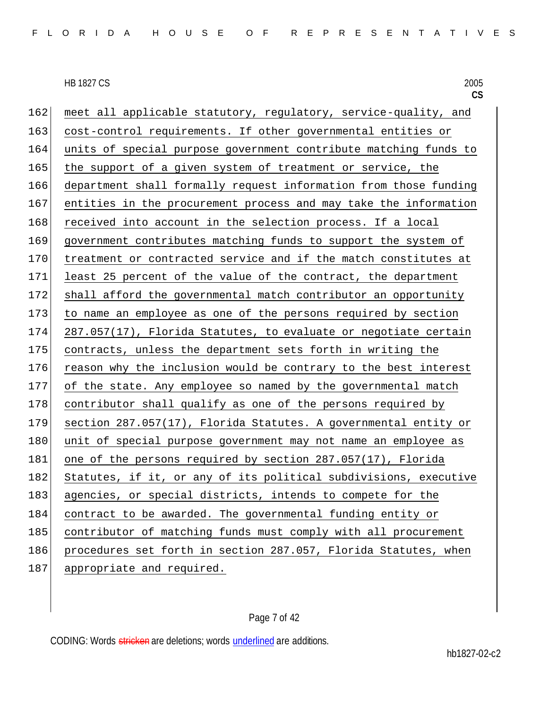162 meet all applicable statutory, regulatory, service-quality, and 163 cost-control requirements. If other governmental entities or 164 units of special purpose government contribute matching funds to 165 the support of a given system of treatment or service, the 166 department shall formally request information from those funding 167 entities in the procurement process and may take the information 168 received into account in the selection process. If a local 169 government contributes matching funds to support the system of 170 treatment or contracted service and if the match constitutes at 171 least 25 percent of the value of the contract, the department 172 shall afford the governmental match contributor an opportunity 173 to name an employee as one of the persons required by section  $174$  287.057(17), Florida Statutes, to evaluate or negotiate certain 175 contracts, unless the department sets forth in writing the 176 reason why the inclusion would be contrary to the best interest 177 of the state. Any employee so named by the governmental match 178 contributor shall qualify as one of the persons required by 179 section 287.057(17), Florida Statutes. A governmental entity or 180 unit of special purpose government may not name an employee as 181 one of the persons required by section 287.057(17), Florida 182 Statutes, if it, or any of its political subdivisions, executive 183 agencies, or special districts, intends to compete for the 184 contract to be awarded. The governmental funding entity or 185 contributor of matching funds must comply with all procurement 186 procedures set forth in section 287.057, Florida Statutes, when 187 appropriate and required.

# Page 7 of 42

CODING: Words stricken are deletions; words underlined are additions.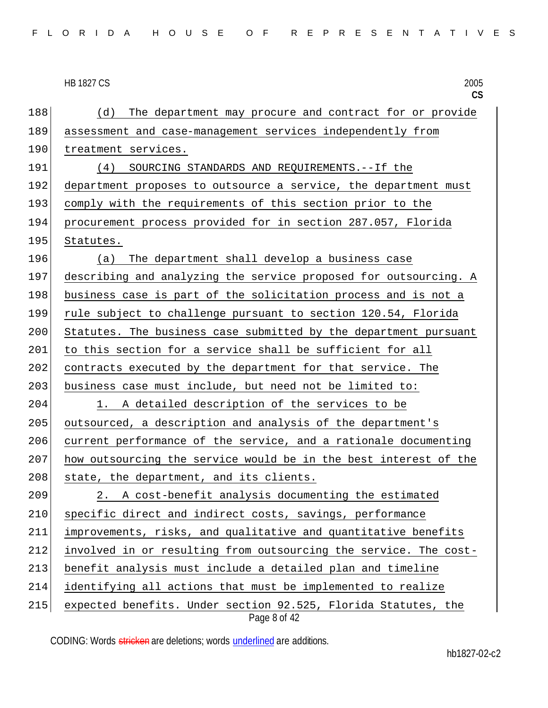|  |  |  |  |  |  |  |  |  |  |  |  |  | FLORIDA HOUSE OF REPRESENTATIVES |  |  |  |  |  |  |  |  |  |  |  |  |  |  |  |  |
|--|--|--|--|--|--|--|--|--|--|--|--|--|----------------------------------|--|--|--|--|--|--|--|--|--|--|--|--|--|--|--|--|
|--|--|--|--|--|--|--|--|--|--|--|--|--|----------------------------------|--|--|--|--|--|--|--|--|--|--|--|--|--|--|--|--|

**CS** Page 8 of 42 188 (d) The department may procure and contract for or provide 189 assessment and case-management services independently from 190 treatment services. 191 (4) SOURCING STANDARDS AND REQUIREMENTS.--If the 192 department proposes to outsource a service, the department must 193 comply with the requirements of this section prior to the 194 procurement process provided for in section 287.057, Florida 195 Statutes. 196 (a) The department shall develop a business case 197 describing and analyzing the service proposed for outsourcing. A 198 business case is part of the solicitation process and is not a 199 rule subject to challenge pursuant to section 120.54, Florida 200 Statutes. The business case submitted by the department pursuant 201 to this section for a service shall be sufficient for all 202 contracts executed by the department for that service. The 203 business case must include, but need not be limited to: 204 1. A detailed description of the services to be 205 outsourced, a description and analysis of the department's 206 current performance of the service, and a rationale documenting 207 how outsourcing the service would be in the best interest of the  $208$  state, the department, and its clients. 209 2. A cost-benefit analysis documenting the estimated 210 specific direct and indirect costs, savings, performance 211 improvements, risks, and qualitative and quantitative benefits 212 involved in or resulting from outsourcing the service. The cost-213 benefit analysis must include a detailed plan and timeline 214 identifying all actions that must be implemented to realize 215 expected benefits. Under section 92.525, Florida Statutes, the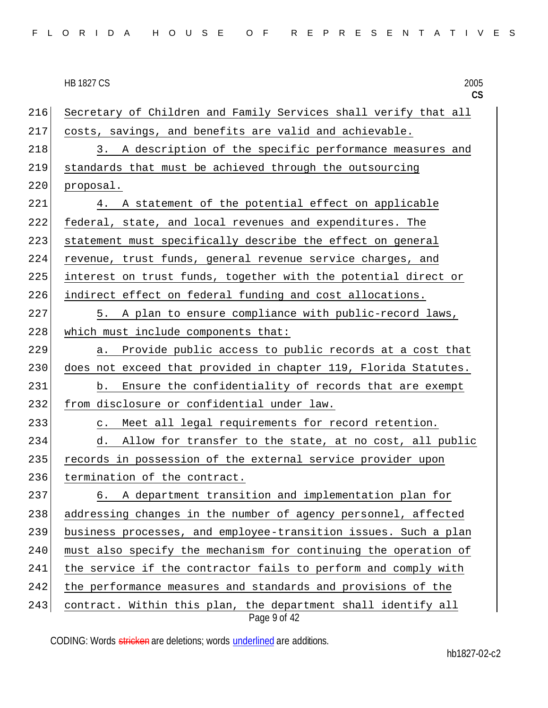| FLORIDA HOUSE OF REPRESENTATIVES |  |  |  |  |  |  |  |  |  |  |  |  |  |  |  |  |  |  |  |  |  |  |  |  |  |  |  |  |  |  |
|----------------------------------|--|--|--|--|--|--|--|--|--|--|--|--|--|--|--|--|--|--|--|--|--|--|--|--|--|--|--|--|--|--|
|----------------------------------|--|--|--|--|--|--|--|--|--|--|--|--|--|--|--|--|--|--|--|--|--|--|--|--|--|--|--|--|--|--|

| <b>HB 1827 C.S</b>                                                  | 2005 |
|---------------------------------------------------------------------|------|
|                                                                     |      |
| 216 Secretary of Children and Family Services shall verify that all |      |
| 217 costs, savings, and benefits are valid and achievable.          |      |

218 3. A description of the specific performance measures and 219 standards that must be achieved through the outsourcing 220 proposal.

221 4. A statement of the potential effect on applicable 222 federal, state, and local revenues and expenditures. The 223 statement must specifically describe the effect on general 224 revenue, trust funds, general revenue service charges, and 225 interest on trust funds, together with the potential direct or 226 indirect effect on federal funding and cost allocations.

227 5. A plan to ensure compliance with public-record laws,  $228$  which must include components that:

229 a. Provide public access to public records at a cost that 230 does not exceed that provided in chapter 119, Florida Statutes. 231 b. Ensure the confidentiality of records that are exempt 232 from disclosure or confidential under law.

233 c. Meet all legal requirements for record retention.

234 d. Allow for transfer to the state, at no cost, all public 235 records in possession of the external service provider upon 236 termination of the contract.

237 6. A department transition and implementation plan for 238 addressing changes in the number of agency personnel, affected 239 business processes, and employee-transition issues. Such a plan 240 | must also specify the mechanism for continuing the operation of 241 the service if the contractor fails to perform and comply with 242 the performance measures and standards and provisions of the 243 contract. Within this plan, the department shall identify all

Page 9 of 42

CODING: Words stricken are deletions; words underlined are additions.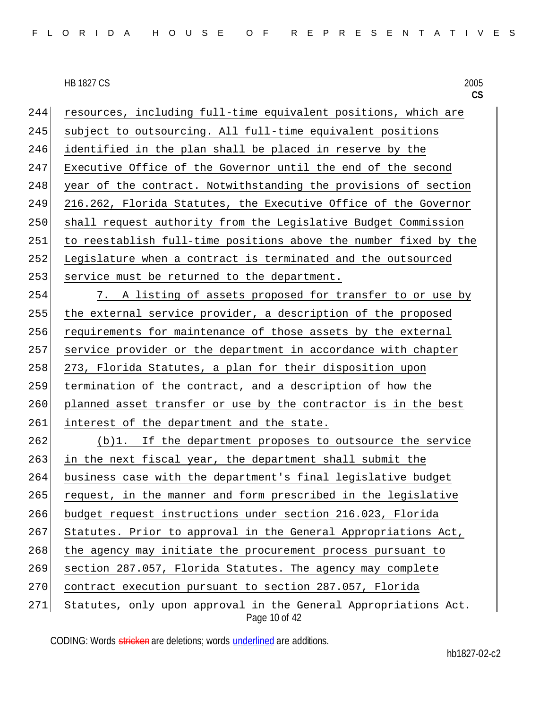244 resources, including full-time equivalent positions, which are 245 subject to outsourcing. All full-time equivalent positions 246 identified in the plan shall be placed in reserve by the 247 Executive Office of the Governor until the end of the second 248 year of the contract. Notwithstanding the provisions of section 249 216.262, Florida Statutes, the Executive Office of the Governor 250 shall request authority from the Legislative Budget Commission 251 to reestablish full-time positions above the number fixed by the 252 Legislature when a contract is terminated and the outsourced 253 service must be returned to the department.

 7. A listing of assets proposed for transfer to or use by the external service provider, a description of the proposed requirements for maintenance of those assets by the external service provider or the department in accordance with chapter 258 273, Florida Statutes, a plan for their disposition upon termination of the contract, and a description of how the 260 planned asset transfer or use by the contractor is in the best 261 interest of the department and the state.

 (b)1. If the department proposes to outsource the service in the next fiscal year, the department shall submit the business case with the department's final legislative budget request, in the manner and form prescribed in the legislative budget request instructions under section 216.023, Florida Statutes. Prior to approval in the General Appropriations Act, 268 the agency may initiate the procurement process pursuant to section 287.057, Florida Statutes. The agency may complete 270 contract execution pursuant to section 287.057, Florida 271 Statutes, only upon approval in the General Appropriations Act.

Page 10 of 42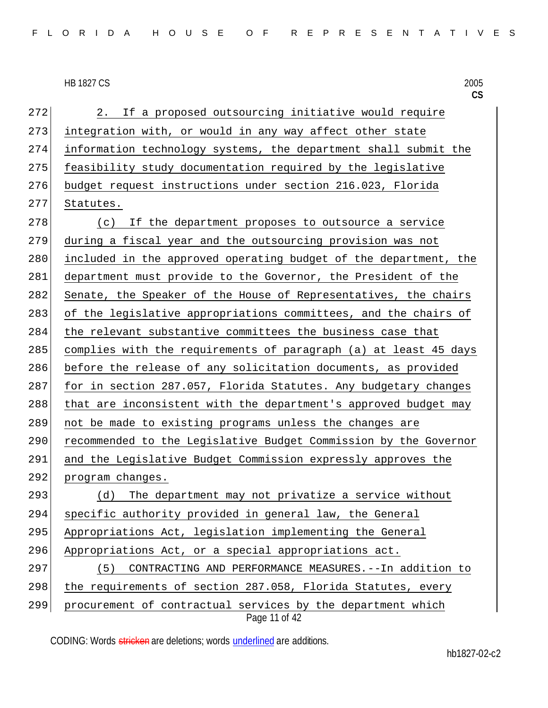272 2. If a proposed outsourcing initiative would require 273 integration with, or would in any way affect other state 274 information technology systems, the department shall submit the 275 feasibility study documentation required by the legislative 276 budget request instructions under section 216.023, Florida 277 Statutes. 278 (c) If the department proposes to outsource a service 279 during a fiscal year and the outsourcing provision was not 280 included in the approved operating budget of the department, the 281 department must provide to the Governor, the President of the 282 Senate, the Speaker of the House of Representatives, the chairs 283 of the legislative appropriations committees, and the chairs of 284 the relevant substantive committees the business case that 285 complies with the requirements of paragraph (a) at least 45 days 286 before the release of any solicitation documents, as provided 287 for in section 287.057, Florida Statutes. Any budgetary changes 288 that are inconsistent with the department's approved budget may 289 not be made to existing programs unless the changes are 290 recommended to the Legislative Budget Commission by the Governor 291 and the Legislative Budget Commission expressly approves the 292 program changes. 293 (d) The department may not privatize a service without 294 specific authority provided in general law, the General 295 Appropriations Act, legislation implementing the General 296 Appropriations Act, or a special appropriations act. 297 (5) CONTRACTING AND PERFORMANCE MEASURES.--In addition to 298 the requirements of section 287.058, Florida Statutes, every 299 procurement of contractual services by the department which

Page 11 of 42

CODING: Words stricken are deletions; words underlined are additions.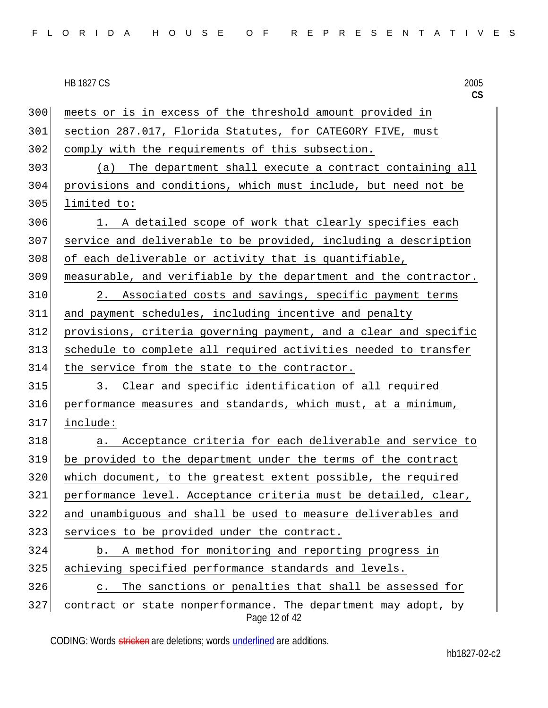Page 12 of 42 300 meets or is in excess of the threshold amount provided in section 287.017, Florida Statutes, for CATEGORY FIVE, must comply with the requirements of this subsection. (a) The department shall execute a contract containing all provisions and conditions, which must include, but need not be limited to: 306 1. A detailed scope of work that clearly specifies each service and deliverable to be provided, including a description of each deliverable or activity that is quantifiable, measurable, and verifiable by the department and the contractor. 2. Associated costs and savings, specific payment terms and payment schedules, including incentive and penalty provisions, criteria governing payment, and a clear and specific schedule to complete all required activities needed to transfer 314 the service from the state to the contractor. 315 3. Clear and specific identification of all required performance measures and standards, which must, at a minimum, include: 318 a. Acceptance criteria for each deliverable and service to be provided to the department under the terms of the contract 320 which document, to the greatest extent possible, the required performance level. Acceptance criteria must be detailed, clear, and unambiguous and shall be used to measure deliverables and services to be provided under the contract. b. A method for monitoring and reporting progress in achieving specified performance standards and levels. 326 c. The sanctions or penalties that shall be assessed for contract or state nonperformance. The department may adopt, by

CODING: Words stricken are deletions; words underlined are additions.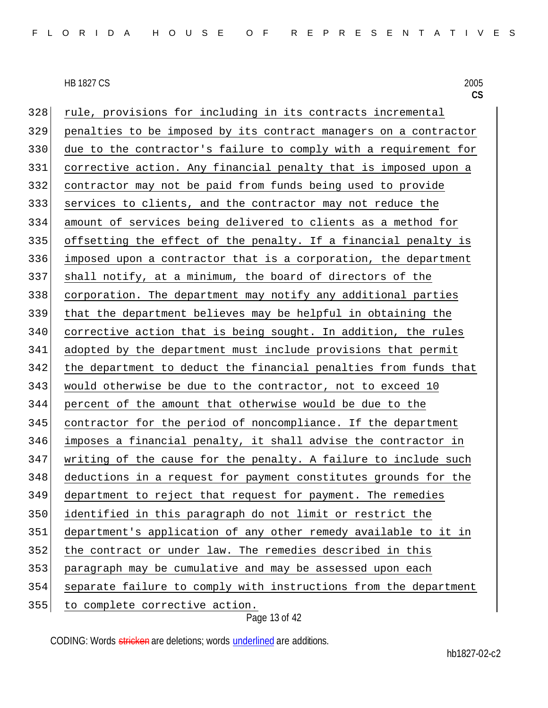**CS**

328 rule, provisions for including in its contracts incremental penalties to be imposed by its contract managers on a contractor due to the contractor's failure to comply with a requirement for corrective action. Any financial penalty that is imposed upon a contractor may not be paid from funds being used to provide services to clients, and the contractor may not reduce the amount of services being delivered to clients as a method for offsetting the effect of the penalty. If a financial penalty is imposed upon a contractor that is a corporation, the department shall notify, at a minimum, the board of directors of the corporation. The department may notify any additional parties that the department believes may be helpful in obtaining the corrective action that is being sought. In addition, the rules adopted by the department must include provisions that permit 342 the department to deduct the financial penalties from funds that would otherwise be due to the contractor, not to exceed 10 percent of the amount that otherwise would be due to the contractor for the period of noncompliance. If the department imposes a financial penalty, it shall advise the contractor in writing of the cause for the penalty. A failure to include such 348 deductions in a request for payment constitutes grounds for the department to reject that request for payment. The remedies identified in this paragraph do not limit or restrict the department's application of any other remedy available to it in 352 the contract or under law. The remedies described in this paragraph may be cumulative and may be assessed upon each separate failure to comply with instructions from the department to complete corrective action.

Page 13 of 42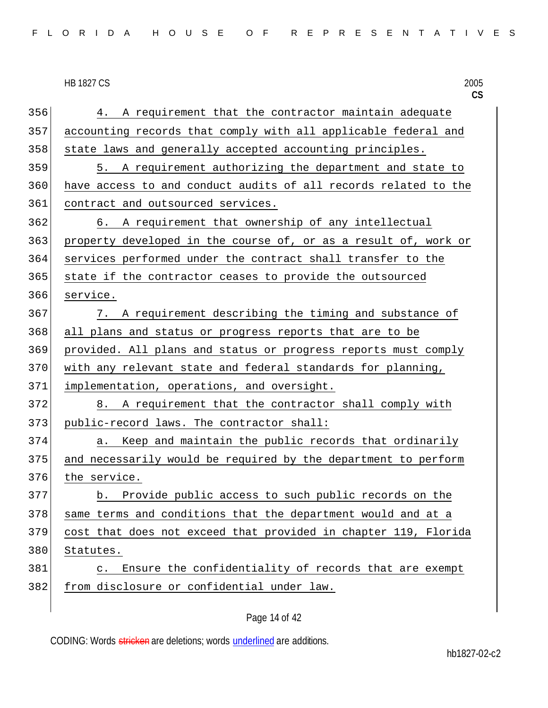| FLORIDA HOUSE OF REPRESENTATIVES |  |
|----------------------------------|--|
|----------------------------------|--|

|     | <b>HB 1827 CS</b><br>2005<br>CS                                    |
|-----|--------------------------------------------------------------------|
| 356 | A requirement that the contractor maintain adequate<br>4.          |
| 357 | accounting records that comply with all applicable federal and     |
| 358 | state laws and generally accepted accounting principles.           |
| 359 | 5. A requirement authorizing the department and state to           |
| 360 | have access to and conduct audits of all records related to the    |
| 361 | contract and outsourced services.                                  |
| 362 | 6. A requirement that ownership of any intellectual                |
| 363 | property developed in the course of, or as a result of, work or    |
| 364 | services performed under the contract shall transfer to the        |
| 365 | state if the contractor ceases to provide the outsourced           |
| 366 | service.                                                           |
| 367 | 7. A requirement describing the timing and substance of            |
| 368 | all plans and status or progress reports that are to be            |
| 369 | provided. All plans and status or progress reports must comply     |
| 370 | with any relevant state and federal standards for planning,        |
| 371 | implementation, operations, and oversight.                         |
| 372 | 8. A requirement that the contractor shall comply with             |
| 373 | public-record laws. The contractor shall:                          |
| 374 | Keep and maintain the public records that ordinarily<br>a.         |
| 375 | and necessarily would be required by the department to perform     |
| 376 | the service.                                                       |
| 377 | Provide public access to such public records on the<br>b.          |
| 378 | same terms and conditions that the department would and at a       |
| 379 | cost that does not exceed that provided in chapter 119, Florida    |
| 380 | Statutes.                                                          |
| 381 | Ensure the confidentiality of records that are exempt<br>$\circ$ . |
| 382 | from disclosure or confidential under law.                         |
|     |                                                                    |

Page 14 of 42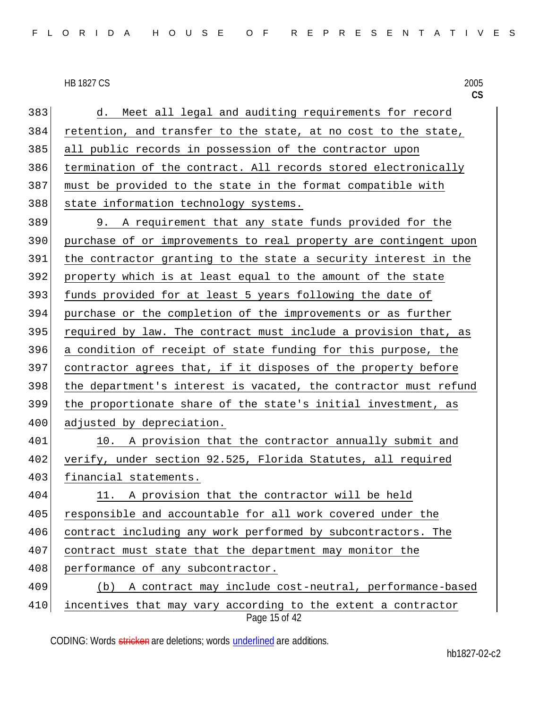383 d. Meet all legal and auditing requirements for record retention, and transfer to the state, at no cost to the state, all public records in possession of the contractor upon termination of the contract. All records stored electronically must be provided to the state in the format compatible with 388 state information technology systems. 9. A requirement that any state funds provided for the purchase of or improvements to real property are contingent upon the contractor granting to the state a security interest in the property which is at least equal to the amount of the state 393 funds provided for at least 5 years following the date of purchase or the completion of the improvements or as further required by law. The contract must include a provision that, as a condition of receipt of state funding for this purpose, the contractor agrees that, if it disposes of the property before the department's interest is vacated, the contractor must refund the proportionate share of the state's initial investment, as 400 adjusted by depreciation.

401 10. A provision that the contractor annually submit and 402 verify, under section 92.525, Florida Statutes, all required 403 financial statements.

 11. A provision that the contractor will be held responsible and accountable for all work covered under the contract including any work performed by subcontractors. The 407 contract must state that the department may monitor the 408 performance of any subcontractor. (b) A contract may include cost-neutral, performance-based

Page 15 of 42 410 incentives that may vary according to the extent a contractor

CODING: Words stricken are deletions; words underlined are additions.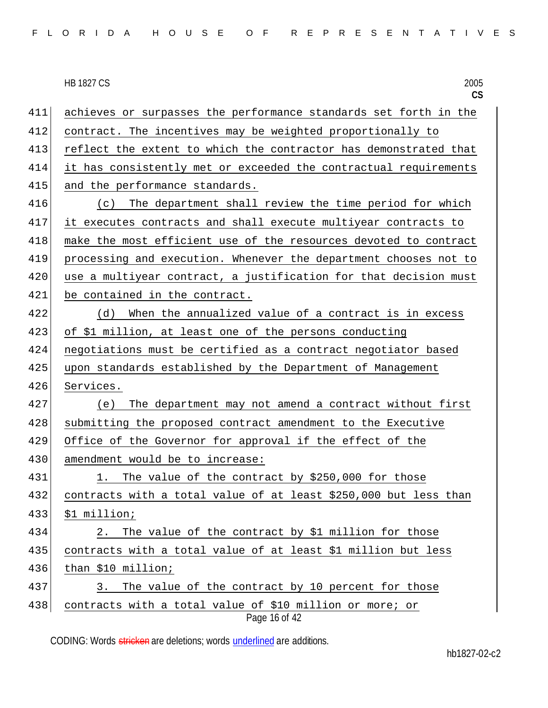| FLORIDA HOUSE OF REPRESENTATIVES |  |  |  |  |  |  |  |  |  |  |  |  |  |  |  |  |  |  |  |  |  |  |  |  |  |  |  |  |  |  |
|----------------------------------|--|--|--|--|--|--|--|--|--|--|--|--|--|--|--|--|--|--|--|--|--|--|--|--|--|--|--|--|--|--|
|----------------------------------|--|--|--|--|--|--|--|--|--|--|--|--|--|--|--|--|--|--|--|--|--|--|--|--|--|--|--|--|--|--|

**CS**

| 411 | achieves or surpasses the performance standards set forth in the          |
|-----|---------------------------------------------------------------------------|
| 412 | contract. The incentives may be weighted proportionally to                |
| 413 | reflect the extent to which the contractor has demonstrated that          |
| 414 | it has consistently met or exceeded the contractual requirements          |
| 415 | and the performance standards.                                            |
| 416 | The department shall review the time period for which<br>(c)              |
| 417 | it executes contracts and shall execute multiyear contracts to            |
| 418 | make the most efficient use of the resources devoted to contract          |
| 419 | processing and execution. Whenever the department chooses not to          |
| 420 | use a multiyear contract, a justification for that decision must          |
| 421 | be contained in the contract.                                             |
| 422 | When the annualized value of a contract is in excess<br>(d)               |
| 423 | of \$1 million, at least one of the persons conducting                    |
| 424 | negotiations must be certified as a contract negotiator based             |
| 425 | upon standards established by the Department of Management                |
| 426 | Services.                                                                 |
| 427 | The department may not amend a contract without first<br>(e)              |
| 428 | submitting the proposed contract amendment to the Executive               |
| 429 | Office of the Governor for approval if the effect of the                  |
| 430 | amendment would be to increase:                                           |
| 431 | The value of the contract by \$250,000 for those<br>1.                    |
| 432 | contracts with a total value of at least \$250,000 but less than          |
| 433 | \$1 million;                                                              |
| 434 | The value of the contract by \$1 million for those<br>2.                  |
| 435 | contracts with a total value of at least \$1 million but less             |
| 436 | than \$10 million;                                                        |
| 437 | The value of the contract by 10 percent for those<br>3.                   |
| 438 | contracts with a total value of \$10 million or more; or<br>Page 16 of 42 |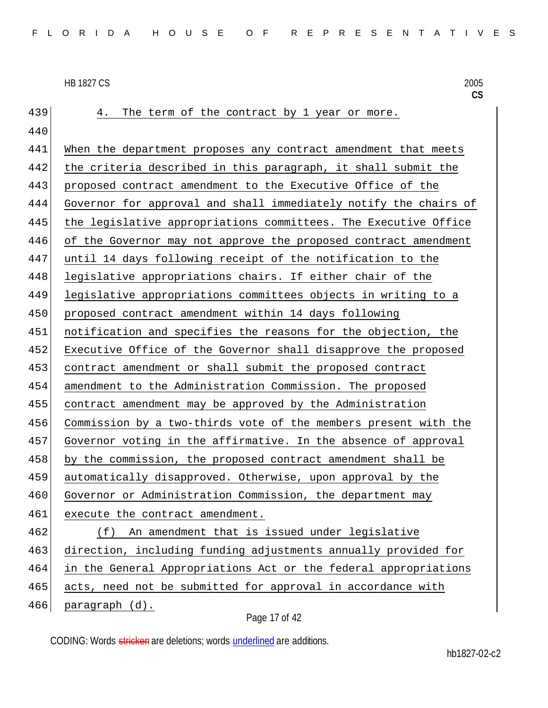439 4. The term of the contract by 1 year or more. 440 When the department proposes any contract amendment that meets the criteria described in this paragraph, it shall submit the proposed contract amendment to the Executive Office of the Governor for approval and shall immediately notify the chairs of the legislative appropriations committees. The Executive Office 446 of the Governor may not approve the proposed contract amendment 447 until 14 days following receipt of the notification to the 448 legislative appropriations chairs. If either chair of the legislative appropriations committees objects in writing to a proposed contract amendment within 14 days following notification and specifies the reasons for the objection, the Executive Office of the Governor shall disapprove the proposed contract amendment or shall submit the proposed contract amendment to the Administration Commission. The proposed contract amendment may be approved by the Administration Commission by a two-thirds vote of the members present with the Governor voting in the affirmative. In the absence of approval by the commission, the proposed contract amendment shall be automatically disapproved. Otherwise, upon approval by the 460 Governor or Administration Commission, the department may 461 execute the contract amendment. (f) An amendment that is issued under legislative 463 direction, including funding adjustments annually provided for in the General Appropriations Act or the federal appropriations 465 acts, need not be submitted for approval in accordance with paragraph (d).

Page 17 of 42

CODING: Words stricken are deletions; words underlined are additions.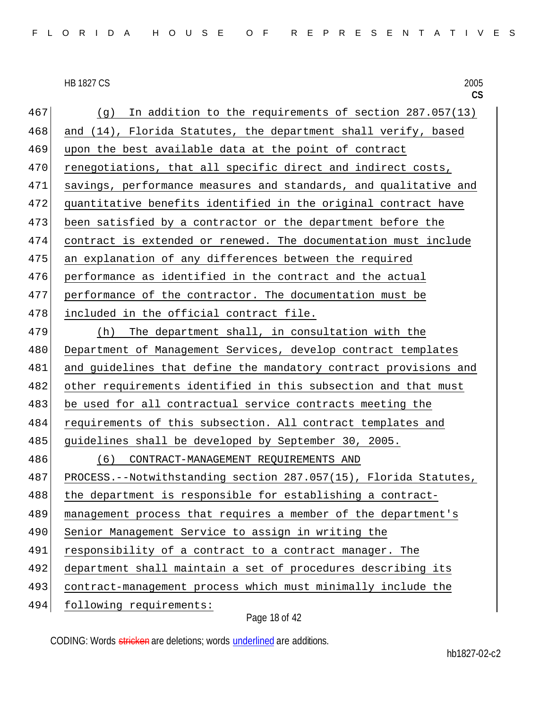|     | <b>HB 1827 CS</b><br>2005<br>CS                                  |
|-----|------------------------------------------------------------------|
| 467 | In addition to the requirements of section 287.057(13)<br>(g)    |
| 468 | and (14), Florida Statutes, the department shall verify, based   |
| 469 | upon the best available data at the point of contract            |
| 470 | renegotiations, that all specific direct and indirect costs,     |
| 471 | savings, performance measures and standards, and qualitative and |
| 472 | quantitative benefits identified in the original contract have   |
| 473 | been satisfied by a contractor or the department before the      |
| 474 | contract is extended or renewed. The documentation must include  |
| 475 | an explanation of any differences between the required           |
| 476 | performance as identified in the contract and the actual         |
| 477 | performance of the contractor. The documentation must be         |
| 478 | included in the official contract file.                          |
| 479 | The department shall, in consultation with the<br>(h)            |
| 480 | Department of Management Services, develop contract templates    |
| 481 | and guidelines that define the mandatory contract provisions and |
| 482 | other requirements identified in this subsection and that must   |
| 483 | be used for all contractual service contracts meeting the        |
| 484 | requirements of this subsection. All contract templates and      |
| 485 | guidelines shall be developed by September 30, 2005.             |
| 486 | CONTRACT-MANAGEMENT REQUIREMENTS AND<br>(6)                      |
| 487 | PROCESS.--Notwithstanding section 287.057(15), Florida Statutes, |
| 488 | the department is responsible for establishing a contract-       |
| 489 | management process that requires a member of the department's    |
| 490 | Senior Management Service to assign in writing the               |
| 491 | responsibility of a contract to a contract manager. The          |
| 492 | department shall maintain a set of procedures describing its     |
| 493 | contract-management process which must minimally include the     |
| 494 | following requirements:                                          |

Page 18 of 42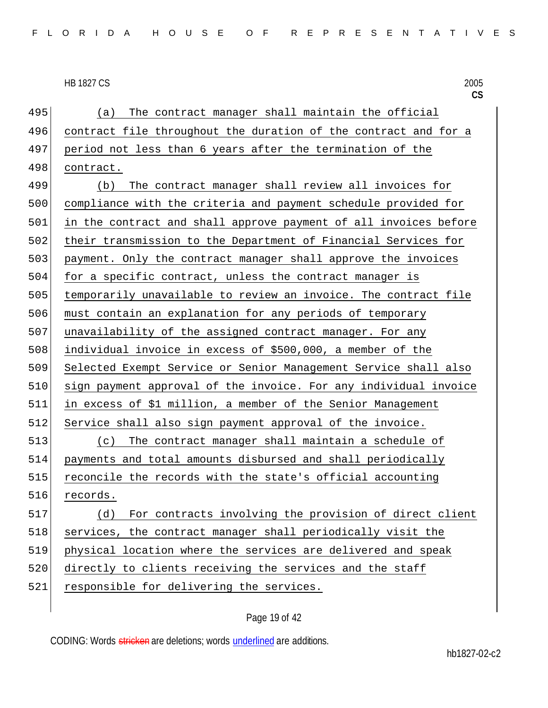495 (a) The contract manager shall maintain the official 496 contract file throughout the duration of the contract and for a 497 period not less than 6 years after the termination of the 498 contract. 499 (b) The contract manager shall review all invoices for 500 compliance with the criteria and payment schedule provided for 501 in the contract and shall approve payment of all invoices before 502 their transmission to the Department of Financial Services for 503 payment. Only the contract manager shall approve the invoices 504 for a specific contract, unless the contract manager is 505 temporarily unavailable to review an invoice. The contract file 506 must contain an explanation for any periods of temporary 507 unavailability of the assigned contract manager. For any 508 individual invoice in excess of \$500,000, a member of the 509 Selected Exempt Service or Senior Management Service shall also 510 sign payment approval of the invoice. For any individual invoice 511 in excess of \$1 million, a member of the Senior Management 512 Service shall also sign payment approval of the invoice. 513 (c) The contract manager shall maintain a schedule of 514 payments and total amounts disbursed and shall periodically 515 reconcile the records with the state's official accounting 516 records. 517 (d) For contracts involving the provision of direct client 518 services, the contract manager shall periodically visit the 519 physical location where the services are delivered and speak 520 directly to clients receiving the services and the staff 521 responsible for delivering the services.

# Page 19 of 42

CODING: Words stricken are deletions; words underlined are additions.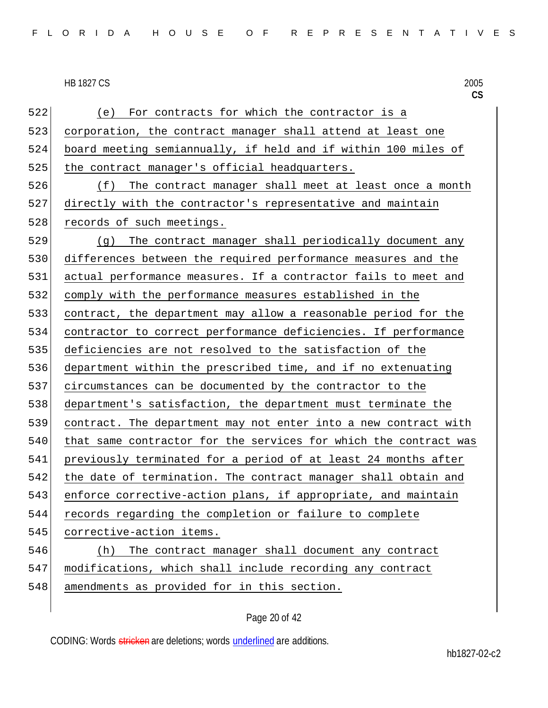522 (e) For contracts for which the contractor is a corporation, the contract manager shall attend at least one board meeting semiannually, if held and if within 100 miles of 525 the contract manager's official headquarters. 526 (f) The contract manager shall meet at least once a month directly with the contractor's representative and maintain 528 records of such meetings. 529 (g) The contract manager shall periodically document any differences between the required performance measures and the actual performance measures. If a contractor fails to meet and comply with the performance measures established in the contract, the department may allow a reasonable period for the contractor to correct performance deficiencies. If performance deficiencies are not resolved to the satisfaction of the department within the prescribed time, and if no extenuating circumstances can be documented by the contractor to the department's satisfaction, the department must terminate the contract. The department may not enter into a new contract with 540 that same contractor for the services for which the contract was previously terminated for a period of at least 24 months after the date of termination. The contract manager shall obtain and 543 enforce corrective-action plans, if appropriate, and maintain records regarding the completion or failure to complete 545 corrective-action items. (h) The contract manager shall document any contract modifications, which shall include recording any contract 548 amendments as provided for in this section.

CODING: Words stricken are deletions; words underlined are additions.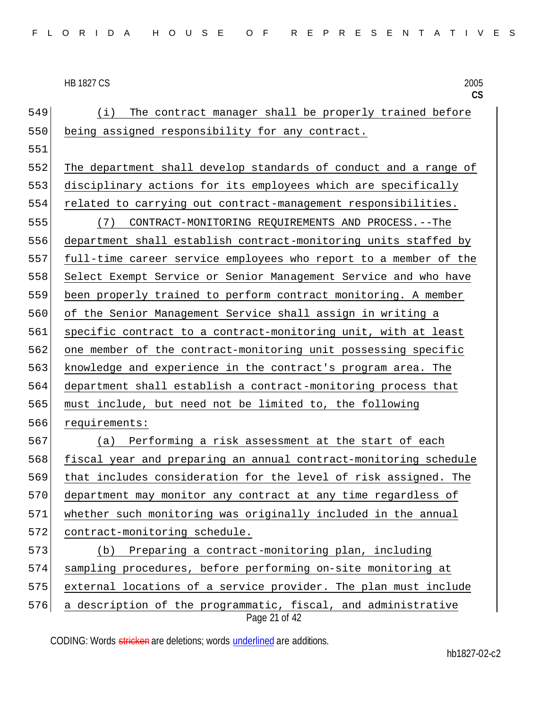| 549 | The contract manager shall be properly trained before<br>(i)                   |
|-----|--------------------------------------------------------------------------------|
| 550 | being assigned responsibility for any contract.                                |
| 551 |                                                                                |
| 552 | The department shall develop standards of conduct and a range of               |
| 553 | disciplinary actions for its employees which are specifically                  |
| 554 | related to carrying out contract-management responsibilities.                  |
| 555 | CONTRACT-MONITORING REQUIREMENTS AND PROCESS. -- The<br>(7)                    |
| 556 | department shall establish contract-monitoring units staffed by                |
| 557 | full-time career service employees who report to a member of the               |
| 558 | Select Exempt Service or Senior Management Service and who have                |
| 559 | been properly trained to perform contract monitoring. A member                 |
| 560 | of the Senior Management Service shall assign in writing a                     |
| 561 | specific contract to a contract-monitoring unit, with at least                 |
| 562 | one member of the contract-monitoring unit possessing specific                 |
| 563 | knowledge and experience in the contract's program area. The                   |
| 564 | department shall establish a contract-monitoring process that                  |
| 565 | must include, but need not be limited to, the following                        |
| 566 | requirements:                                                                  |
| 567 | Performing a risk assessment at the start of each<br>(a)                       |
| 568 | fiscal year and preparing an annual contract-monitoring schedule               |
| 569 | that includes consideration for the level of risk assigned. The                |
| 570 | department may monitor any contract at any time regardless of                  |
| 571 | whether such monitoring was originally included in the annual                  |
| 572 | contract-monitoring schedule.                                                  |
| 573 | Preparing a contract-monitoring plan, including<br>(b)                         |
| 574 | sampling procedures, before performing on-site monitoring at                   |
| 575 | external locations of a service provider. The plan must include                |
| 576 | a description of the programmatic, fiscal, and administrative<br>Page 21 of 42 |

CODING: Words stricken are deletions; words underlined are additions.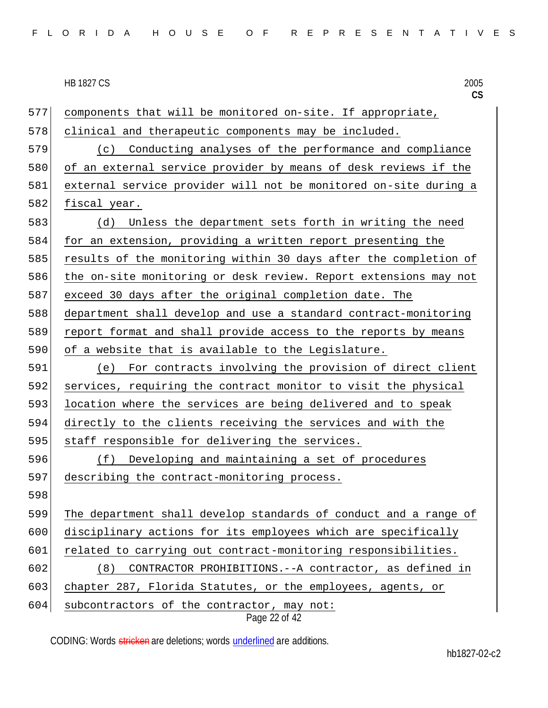**CS** Page 22 of 42 components that will be monitored on-site. If appropriate, clinical and therapeutic components may be included. (c) Conducting analyses of the performance and compliance of an external service provider by means of desk reviews if the external service provider will not be monitored on-site during a 582 fiscal year. (d) Unless the department sets forth in writing the need 584 for an extension, providing a written report presenting the 585 results of the monitoring within 30 days after the completion of 586 the on-site monitoring or desk review. Report extensions may not exceed 30 days after the original completion date. The department shall develop and use a standard contract-monitoring report format and shall provide access to the reports by means of a website that is available to the Legislature. (e) For contracts involving the provision of direct client services, requiring the contract monitor to visit the physical 593 location where the services are being delivered and to speak directly to the clients receiving the services and with the 595 staff responsible for delivering the services. (f) Developing and maintaining a set of procedures describing the contract-monitoring process. 598 The department shall develop standards of conduct and a range of disciplinary actions for its employees which are specifically 601 related to carrying out contract-monitoring responsibilities. (8) CONTRACTOR PROHIBITIONS.--A contractor, as defined in 603 chapter 287, Florida Statutes, or the employees, agents, or subcontractors of the contractor, may not: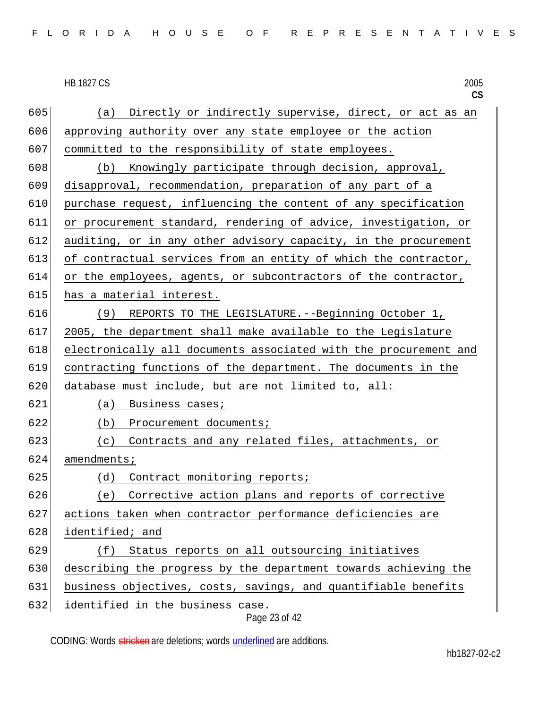|     | <b>HB 1827 CS</b><br>2005<br>CS                                  |
|-----|------------------------------------------------------------------|
| 605 | Directly or indirectly supervise, direct, or act as an<br>(a)    |
| 606 | approving authority over any state employee or the action        |
| 607 | committed to the responsibility of state employees.              |
| 608 | Knowingly participate through decision, approval,<br>(b)         |
| 609 | disapproval, recommendation, preparation of any part of a        |
| 610 | purchase request, influencing the content of any specification   |
| 611 | or procurement standard, rendering of advice, investigation, or  |
| 612 | auditing, or in any other advisory capacity, in the procurement  |
| 613 | of contractual services from an entity of which the contractor,  |
| 614 | or the employees, agents, or subcontractors of the contractor,   |
| 615 | has a material interest.                                         |
| 616 | (9) REPORTS TO THE LEGISLATURE. --Beginning October 1,           |
| 617 | 2005, the department shall make available to the Legislature     |
| 618 | electronically all documents associated with the procurement and |
| 619 | contracting functions of the department. The documents in the    |
| 620 | database must include, but are not limited to, all:              |
| 621 | Business cases;<br>(a)                                           |
| 622 | (b)<br>Procurement documents;                                    |
| 623 | (c) Contracts and any related files, attachments, or             |
| 624 | amendments;                                                      |
| 625 | (d) Contract monitoring reports;                                 |
| 626 | (e) Corrective action plans and reports of corrective            |
| 627 | actions taken when contractor performance deficiencies are       |
| 628 | identified; and                                                  |
| 629 | Status reports on all outsourcing initiatives<br>(f)             |
| 630 | describing the progress by the department towards achieving the  |
| 631 | business objectives, costs, savings, and quantifiable benefits   |
| 632 | identified in the business case.                                 |

Page 23 of 42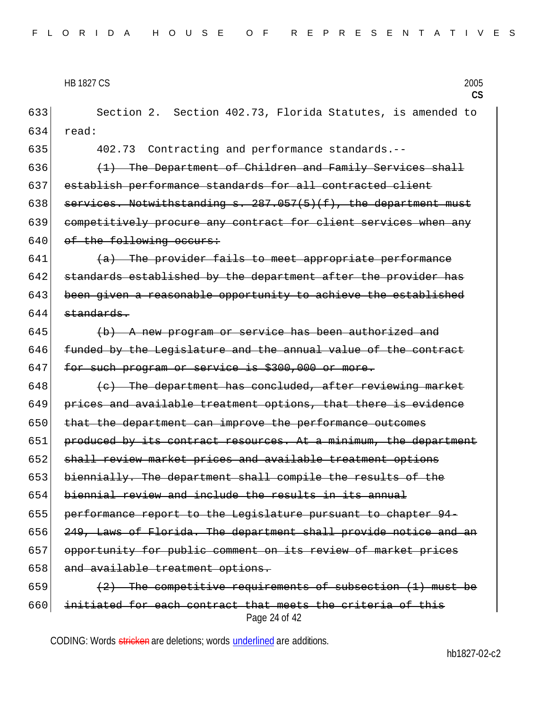Page 24 of 42 633 Section 2. Section 402.73, Florida Statutes, is amended to 634 read: 635 402.73 Contracting and performance standards.-- 636  $(1)$  The Department of Children and Family Services shall 637 establish performance standards for all contracted client 638 services. Notwithstanding s.  $287.057(5)(f)$ , the department must 639 competitively procure any contract for client services when any  $640$  of the following occurs:  $641$  (a) The provider fails to meet appropriate performance 642 standards established by the department after the provider has 643 been given a reasonable opportunity to achieve the established  $644$  standards. 645  $\vert$  (b) A new program or service has been authorized and 646 funded by the Legislature and the annual value of the contract 647 for such program or service is \$300,000 or more. 648  $\vert$  (c) The department has concluded, after reviewing market 649 prices and available treatment options, that there is evidence 650 that the department can improve the performance outcomes 651 produced by its contract resources. At a minimum, the department 652 shall review market prices and available treatment options 653 biennially. The department shall compile the results of the 654 biennial review and include the results in its annual 655 performance report to the Legislature pursuant to chapter 94- 656 249, Laws of Florida. The department shall provide notice and an 657 opportunity for public comment on its review of market prices 658 and available treatment options. 659  $(2)$  The competitive requirements of subsection (1) must be 660 initiated for each contract that meets the criteria of this

CODING: Words stricken are deletions; words underlined are additions.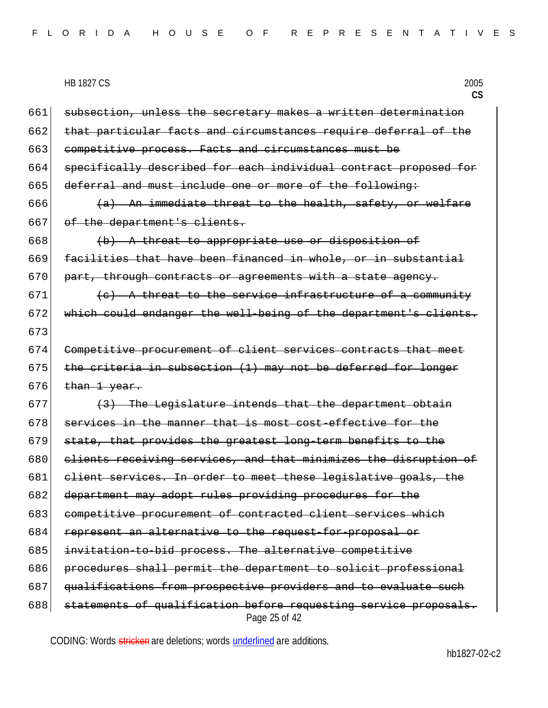**CS** 661 subsection, unless the secretary makes a written determination 662 that particular facts and circumstances require deferral of the 663 competitive process. Facts and circumstances must be 664 specifically described for each individual contract proposed for 665 deferral and must include one or more of the following: 666  $\left( a \right)$  An immediate threat to the health, safety, or welfare 667 of the department's clients.  $668$  (b) A threat to appropriate use or disposition of 669 facilities that have been financed in whole, or in substantial 670 part, through contracts or agreements with a state agency. 671  $(e)$  A threat to the service infrastructure of a community 672 which could endanger the well-being of the department's clients. 673 674 Competitive procurement of client services contracts that meet 675 the criteria in subsection  $(1)$  may not be deferred for longer  $676$  than 1 year.  $677$  (3) The Legislature intends that the department obtain  $678$  services in the manner that is most cost-effective for the 679 state, that provides the greatest long-term benefits to the 680 clients receiving services, and that minimizes the disruption of 681 client services. In order to meet these legislative goals, the 682 department may adopt rules providing procedures for the 683 competitive procurement of contracted client services which 684 represent an alternative to the request-for-proposal or 685 invitation-to-bid process. The alternative competitive 686 procedures shall permit the department to solicit professional 687 qualifications from prospective providers and to evaluate such  $688$  statements of qualification before requesting service proposals.

Page 25 of 42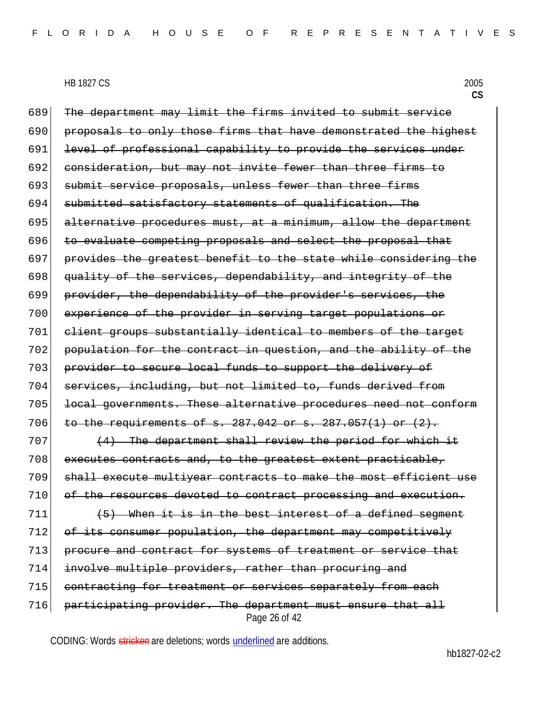Page 26 of 42 689 The department may limit the firms invited to submit service 690 proposals to only those firms that have demonstrated the highest 691 level of professional capability to provide the services under 692 consideration, but may not invite fewer than three firms to 693 submit service proposals, unless fewer than three firms 694 submitted satisfactory statements of qualification. The 695 alternative procedures must, at a minimum, allow the department 696 to evaluate competing proposals and select the proposal that 697 provides the greatest benefit to the state while considering the 698 quality of the services, dependability, and integrity of the 699 provider, the dependability of the provider's services, the 700 experience of the provider in serving target populations or 701 client groups substantially identical to members of the target 702 population for the contract in question, and the ability of the 703 provider to secure local funds to support the delivery of 704 services, including, but not limited to, funds derived from 705 local governments. These alternative procedures need not conform 706 to the requirements of s. 287.042 or s. 287.057(1) or  $(2)$ .  $707$  (4) The department shall review the period for which it 708 executes contracts and, to the greatest extent practicable, 709 shall execute multiyear contracts to make the most efficient use 710 of the resources devoted to contract processing and execution.  $711$  (5) When it is in the best interest of a defined segment 712 of its consumer population, the department may competitively 713 procure and contract for systems of treatment or service that 714 involve multiple providers, rather than procuring and 715 contracting for treatment or services separately from each 716 participating provider. The department must ensure that all

CODING: Words stricken are deletions; words underlined are additions.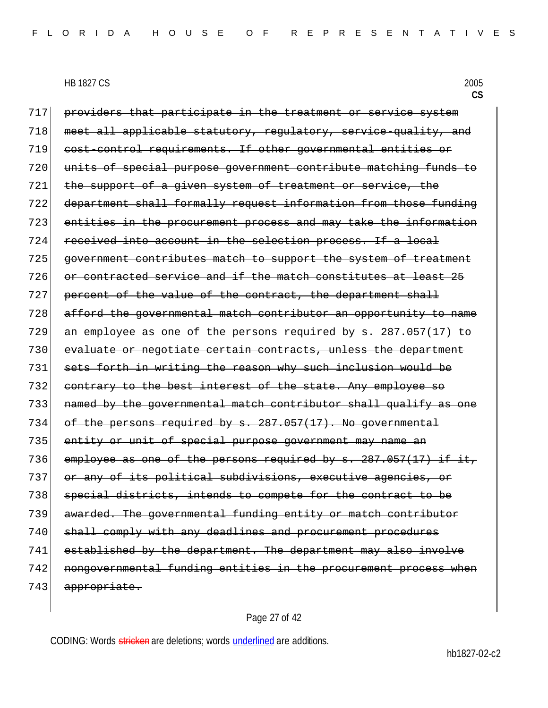717 providers that participate in the treatment or service system 718 meet all applicable statutory, regulatory, service-quality, and 719 cost-control requirements. If other governmental entities or 720 units of special purpose government contribute matching funds to 721 the support of a given system of treatment or service, the 722 department shall formally request information from those funding 723 entities in the procurement process and may take the information 724 received into account in the selection process. If a local 725 government contributes match to support the system of treatment 726 or contracted service and if the match constitutes at least 25 727 percent of the value of the contract, the department shall 728 afford the governmental match contributor an opportunity to name 729 an employee as one of the persons required by s. 287.057(17) to 730 evaluate or negotiate certain contracts, unless the department 731 sets forth in writing the reason why such inclusion would be 732 contrary to the best interest of the state. Any employee so 733 named by the governmental match contributor shall qualify as one 734 of the persons required by s. 287.057(17). No governmental 735 entity or unit of special purpose government may name an 736 employee as one of the persons required by  $s. 287.057(17)$  if it, 737 or any of its political subdivisions, executive agencies, or 738 special districts, intends to compete for the contract to be 739 awarded. The governmental funding entity or match contributor 740 shall comply with any deadlines and procurement procedures 741 established by the department. The department may also involve 742 nongovernmental funding entities in the procurement process when 743 appropriate.

#### Page 27 of 42

CODING: Words stricken are deletions; words underlined are additions.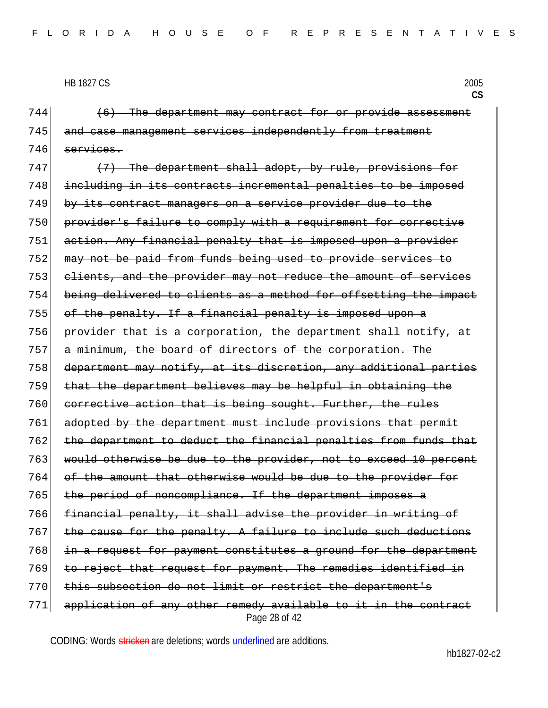**CS**

 (6) The department may contract for or provide assessment 745 and case management services independently from treatment services.

Page 28 of 42 (7) The department shall adopt, by rule, provisions for including in its contracts incremental penalties to be imposed by its contract managers on a service provider due to the provider's failure to comply with a requirement for corrective 751 action. Any financial penalty that is imposed upon a provider may not be paid from funds being used to provide services to clients, and the provider may not reduce the amount of services being delivered to clients as a method for offsetting the impact of the penalty. If a financial penalty is imposed upon a provider that is a corporation, the department shall notify, at a minimum, the board of directors of the corporation. The department may notify, at its discretion, any additional parties that the department believes may be helpful in obtaining the corrective action that is being sought. Further, the rules 761 adopted by the department must include provisions that permit the department to deduct the financial penalties from funds that 763 would otherwise be due to the provider, not to exceed 10 percent of the amount that otherwise would be due to the provider for 765 the period of noncompliance. If the department imposes a financial penalty, it shall advise the provider in writing of 767 the cause for the penalty. A failure to include such deductions in a request for payment constitutes a ground for the department to reject that request for payment. The remedies identified in 770 this subsection do not limit or restrict the department's application of any other remedy available to it in the contract

CODING: Words stricken are deletions; words underlined are additions.

hb1827-02-c2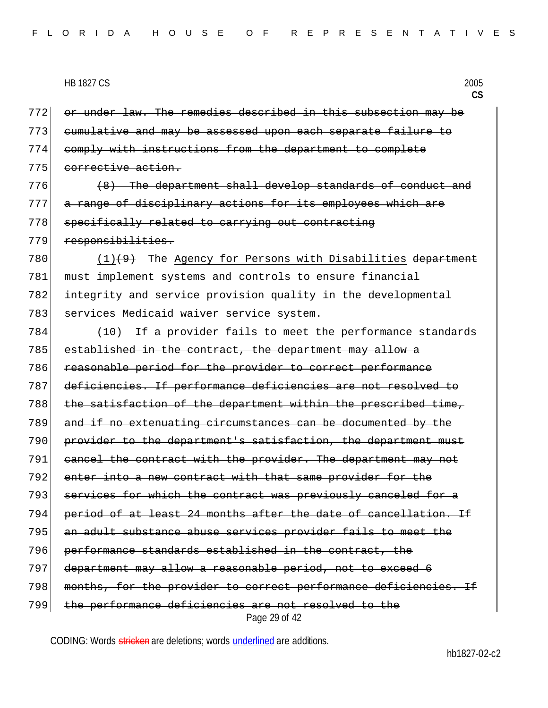or under law. The remedies described in this subsection may be cumulative and may be assessed upon each separate failure to comply with instructions from the department to complete 775 corrective action.

 $776$  (8) The department shall develop standards of conduct and 777 a range of disciplinary actions for its employees which are 778 specifically related to carrying out contracting 779 responsibilities.

780  $(1)(9)$  The Agency for Persons with Disabilities department 781 must implement systems and controls to ensure financial 782 integrity and service provision quality in the developmental 783 services Medicaid waiver service system.

Page 29 of 42  $784$  (10) If a provider fails to meet the performance standards 785 established in the contract, the department may allow a 786 reasonable period for the provider to correct performance 787 deficiencies. If performance deficiencies are not resolved to 788 the satisfaction of the department within the prescribed time, 789 and if no extenuating circumstances can be documented by the 790 provider to the department's satisfaction, the department must 791 cancel the contract with the provider. The department may not 792 enter into a new contract with that same provider for the 793 services for which the contract was previously canceled for a 794 period of at least 24 months after the date of cancellation. If 795 an adult substance abuse services provider fails to meet the 796 performance standards established in the contract, the 797 department may allow a reasonable period, not to exceed 6 798 months, for the provider to correct performance deficiencies. If 799 the performance deficiencies are not resolved to the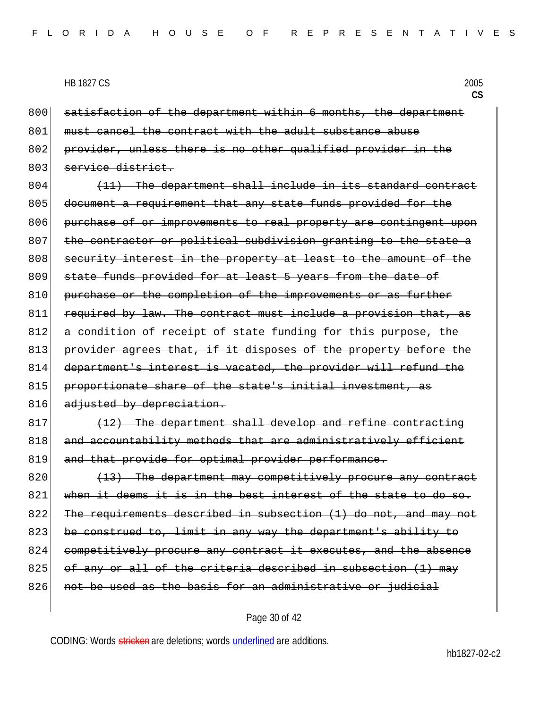**CS**

800 satisfaction of the department within 6 months, the department 801 must cancel the contract with the adult substance abuse 802 provider, unless there is no other qualified provider in the 803 service district.

 $804$  (11) The department shall include in its standard contract 805 document a requirement that any state funds provided for the 806 purchase of or improvements to real property are contingent upon 807 the contractor or political subdivision granting to the state a 808 security interest in the property at least to the amount of the 809 state funds provided for at least 5 years from the date of 810 purchase or the completion of the improvements or as further 811 required by law. The contract must include a provision that, as 812 a condition of receipt of state funding for this purpose, the 813 provider agrees that, if it disposes of the property before the 814 department's interest is vacated, the provider will refund the 815 proportionate share of the state's initial investment, as 816 adjusted by depreciation.

 $817$  (12) The department shall develop and refine contracting 818 and accountability methods that are administratively efficient 819 and that provide for optimal provider performance.

 $820$  (13) The department may competitively procure any contract 821 when it deems it is in the best interest of the state to do so. 822 The requirements described in subsection  $(1)$  do not, and may not 823 be construed to, limit in any way the department's ability to 824 competitively procure any contract it executes, and the absence 825 of any or all of the criteria described in subsection  $(1)$  may 826 not be used as the basis for an administrative or judicial

#### Page 30 of 42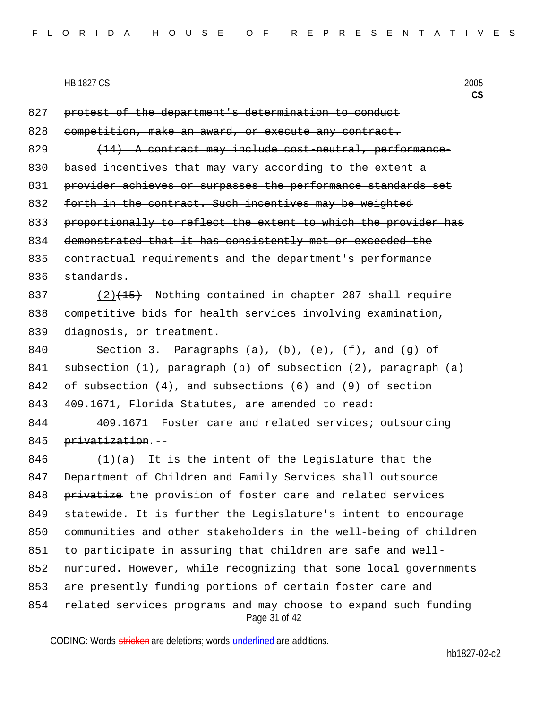827 protest of the department's determination to conduct 828 competition, make an award, or execute any contract.  $829$   $(14)$  A contract may include cost-neutral, performance-830 based incentives that may vary according to the extent a 831 provider achieves or surpasses the performance standards set 832 forth in the contract. Such incentives may be weighted 833 proportionally to reflect the extent to which the provider has 834 demonstrated that it has consistently met or exceeded the 835 contractual requirements and the department's performance  $836$  standards.

837 (2)<del>(15)</del> Nothing contained in chapter 287 shall require 838 competitive bids for health services involving examination, 839 diagnosis, or treatment.

840 Section 3. Paragraphs (a), (b), (e), (f), and (g) of 841 subsection (1), paragraph (b) of subsection (2), paragraph (a)  $842$  of subsection (4), and subsections (6) and (9) of section 843 409.1671, Florida Statutes, are amended to read:

844 409.1671 Foster care and related services; outsourcing 845 privatization.--

Page 31 of 42  $846$  (1)(a) It is the intent of the Legislature that the 847 Department of Children and Family Services shall outsource 848 privatize the provision of foster care and related services 849 statewide. It is further the Legislature's intent to encourage 850 communities and other stakeholders in the well-being of children 851 to participate in assuring that children are safe and well-852 nurtured. However, while recognizing that some local governments 853 are presently funding portions of certain foster care and 854 related services programs and may choose to expand such funding

CODING: Words stricken are deletions; words underlined are additions.

hb1827-02-c2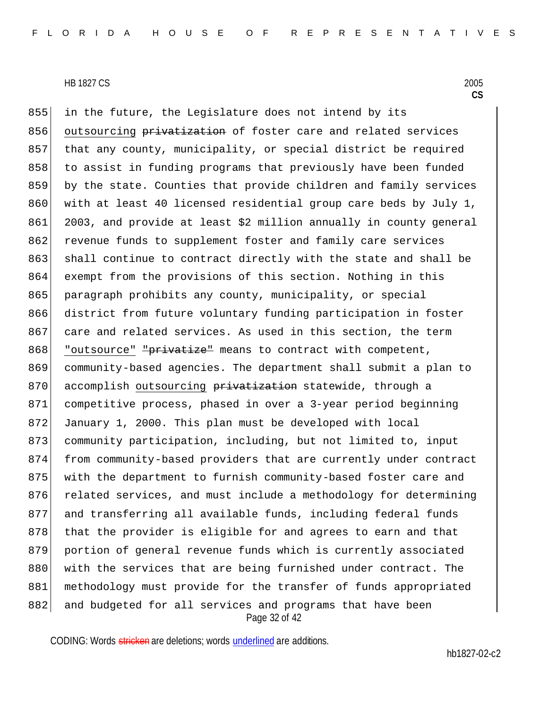Page 32 of 42 855 in the future, the Legislature does not intend by its 856 outsourcing privatization of foster care and related services 857 that any county, municipality, or special district be required 858 to assist in funding programs that previously have been funded 859 by the state. Counties that provide children and family services 860 with at least 40 licensed residential group care beds by July 1, 861 2003, and provide at least \$2 million annually in county general 862 revenue funds to supplement foster and family care services 863 shall continue to contract directly with the state and shall be 864 exempt from the provisions of this section. Nothing in this 865 paragraph prohibits any county, municipality, or special 866 district from future voluntary funding participation in foster 867 care and related services. As used in this section, the term 868 "outsource" "privatize" means to contract with competent, 869 community-based agencies. The department shall submit a plan to 870 accomplish outsourcing privatization statewide, through a 871 competitive process, phased in over a 3-year period beginning 872 January 1, 2000. This plan must be developed with local 873 community participation, including, but not limited to, input 874 from community-based providers that are currently under contract 875 with the department to furnish community-based foster care and 876 related services, and must include a methodology for determining 877 and transferring all available funds, including federal funds 878 that the provider is eligible for and agrees to earn and that 879 portion of general revenue funds which is currently associated 880 with the services that are being furnished under contract. The 881 methodology must provide for the transfer of funds appropriated 882 and budgeted for all services and programs that have been

CODING: Words stricken are deletions; words underlined are additions.

hb1827-02-c2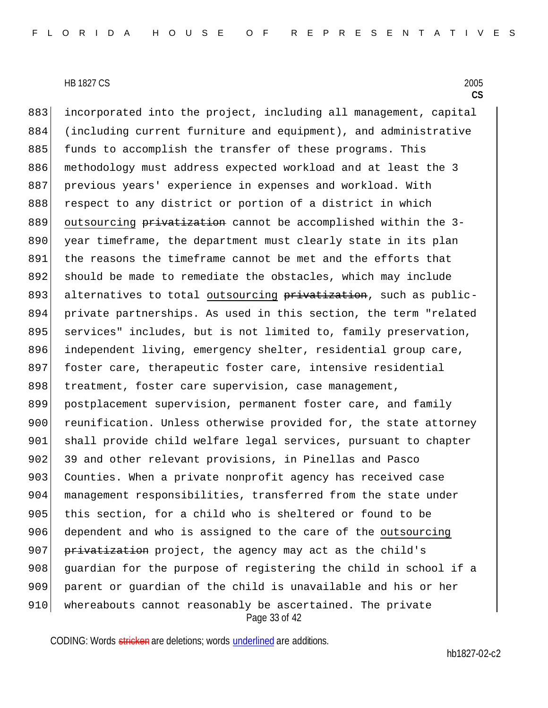Page 33 of 42 883 incorporated into the project, including all management, capital 884 (including current furniture and equipment), and administrative 885 funds to accomplish the transfer of these programs. This 886 methodology must address expected workload and at least the 3 887 previous years' experience in expenses and workload. With 888 respect to any district or portion of a district in which 889 outsourcing privatization cannot be accomplished within the 3-890 year timeframe, the department must clearly state in its plan 891 the reasons the timeframe cannot be met and the efforts that 892 should be made to remediate the obstacles, which may include 893 alternatives to total outsourcing privatization, such as public-894 private partnerships. As used in this section, the term "related 895 services" includes, but is not limited to, family preservation, 896 independent living, emergency shelter, residential group care, 897 foster care, therapeutic foster care, intensive residential 898 treatment, foster care supervision, case management, 899 postplacement supervision, permanent foster care, and family 900 reunification. Unless otherwise provided for, the state attorney 901 shall provide child welfare legal services, pursuant to chapter 902 39 and other relevant provisions, in Pinellas and Pasco 903 Counties. When a private nonprofit agency has received case 904 management responsibilities, transferred from the state under 905 this section, for a child who is sheltered or found to be 906 dependent and who is assigned to the care of the outsourcing 907 privatization project, the agency may act as the child's 908 guardian for the purpose of registering the child in school if a 909 parent or guardian of the child is unavailable and his or her 910 whereabouts cannot reasonably be ascertained. The private

CODING: Words stricken are deletions; words underlined are additions.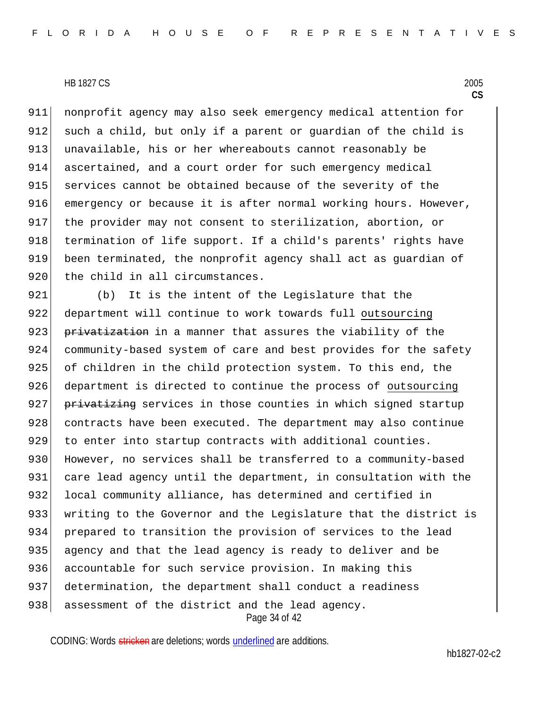911 nonprofit agency may also seek emergency medical attention for 912 such a child, but only if a parent or guardian of the child is 913 unavailable, his or her whereabouts cannot reasonably be 914 ascertained, and a court order for such emergency medical 915 services cannot be obtained because of the severity of the 916 emergency or because it is after normal working hours. However, 917 the provider may not consent to sterilization, abortion, or 918 termination of life support. If a child's parents' rights have 919 been terminated, the nonprofit agency shall act as guardian of 920 the child in all circumstances.

Page 34 of 42 921 (b) It is the intent of the Legislature that the 922 department will continue to work towards full outsourcing 923 privatization in a manner that assures the viability of the 924 community-based system of care and best provides for the safety 925 of children in the child protection system. To this end, the 926 department is directed to continue the process of outsourcing 927 privatizing services in those counties in which signed startup 928 contracts have been executed. The department may also continue 929 to enter into startup contracts with additional counties. 930 However, no services shall be transferred to a community-based 931 care lead agency until the department, in consultation with the 932 local community alliance, has determined and certified in 933 writing to the Governor and the Legislature that the district is 934 prepared to transition the provision of services to the lead 935 agency and that the lead agency is ready to deliver and be 936 accountable for such service provision. In making this 937 determination, the department shall conduct a readiness 938 assessment of the district and the lead agency.

CODING: Words stricken are deletions; words underlined are additions.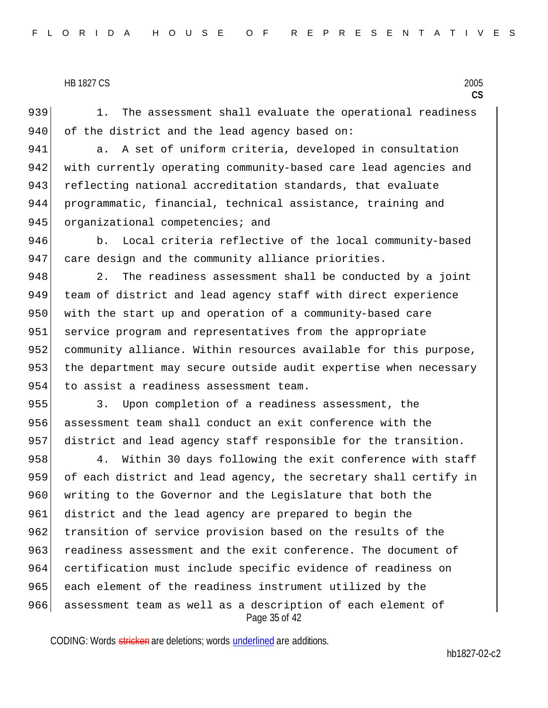939 1. The assessment shall evaluate the operational readiness 940 of the district and the lead agency based on:

941 a. A set of uniform criteria, developed in consultation 942 with currently operating community-based care lead agencies and 943 reflecting national accreditation standards, that evaluate 944 programmatic, financial, technical assistance, training and

945 organizational competencies; and

946 b. Local criteria reflective of the local community-based 947 care design and the community alliance priorities.

948 2. The readiness assessment shall be conducted by a joint 949 team of district and lead agency staff with direct experience 950 with the start up and operation of a community-based care 951 service program and representatives from the appropriate 952 community alliance. Within resources available for this purpose, 953 the department may secure outside audit expertise when necessary 954 to assist a readiness assessment team.

955 3. Upon completion of a readiness assessment, the 956 assessment team shall conduct an exit conference with the 957 district and lead agency staff responsible for the transition.

Page 35 of 42 958 4. Within 30 days following the exit conference with staff 959 of each district and lead agency, the secretary shall certify in 960 writing to the Governor and the Legislature that both the 961 district and the lead agency are prepared to begin the 962 transition of service provision based on the results of the 963 readiness assessment and the exit conference. The document of 964 certification must include specific evidence of readiness on 965 each element of the readiness instrument utilized by the 966 assessment team as well as a description of each element of

CODING: Words stricken are deletions; words underlined are additions.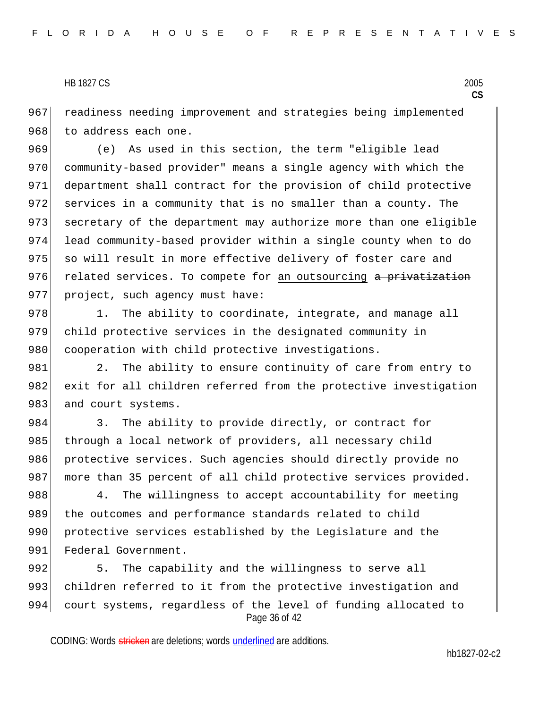967 readiness needing improvement and strategies being implemented 968 to address each one.

969 (e) As used in this section, the term "eligible lead 970 community-based provider" means a single agency with which the 971 department shall contract for the provision of child protective 972 services in a community that is no smaller than a county. The 973 secretary of the department may authorize more than one eligible 974 lead community-based provider within a single county when to do 975 so will result in more effective delivery of foster care and 976 related services. To compete for an outsourcing a privatization 977 project, such agency must have:

978 1. The ability to coordinate, integrate, and manage all 979 child protective services in the designated community in 980 cooperation with child protective investigations.

981 2. The ability to ensure continuity of care from entry to 982 exit for all children referred from the protective investigation 983 and court systems.

984 3. The ability to provide directly, or contract for 985 through a local network of providers, all necessary child 986 protective services. Such agencies should directly provide no 987 more than 35 percent of all child protective services provided.

988 4. The willingness to accept accountability for meeting 989 the outcomes and performance standards related to child 990 protective services established by the Legislature and the 991 Federal Government.

Page 36 of 42 992 5. The capability and the willingness to serve all 993 children referred to it from the protective investigation and 994 court systems, regardless of the level of funding allocated to

CODING: Words stricken are deletions; words underlined are additions.

hb1827-02-c2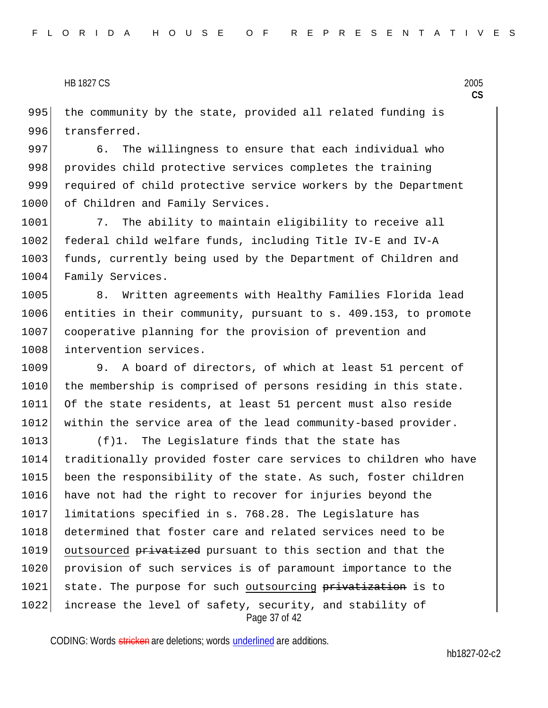995 the community by the state, provided all related funding is 996 transferred.

997 6. The willingness to ensure that each individual who 998 provides child protective services completes the training 999 required of child protective service workers by the Department 1000 of Children and Family Services.

1001 7. The ability to maintain eligibility to receive all 1002 federal child welfare funds, including Title IV-E and IV-A 1003 funds, currently being used by the Department of Children and 1004 Family Services.

1005 8. Written agreements with Healthy Families Florida lead 1006 entities in their community, pursuant to s. 409.153, to promote 1007 cooperative planning for the provision of prevention and 1008 intervention services.

1009 9. A board of directors, of which at least 51 percent of 1010 the membership is comprised of persons residing in this state. 1011 Of the state residents, at least 51 percent must also reside 1012 within the service area of the lead community-based provider.

Page 37 of 42 1013 (f)1. The Legislature finds that the state has 1014 traditionally provided foster care services to children who have 1015 been the responsibility of the state. As such, foster children 1016 have not had the right to recover for injuries beyond the 1017 limitations specified in s. 768.28. The Legislature has 1018 determined that foster care and related services need to be 1019 outsourced privatized pursuant to this section and that the 1020 provision of such services is of paramount importance to the 1021 state. The purpose for such outsourcing privatization is to 1022 increase the level of safety, security, and stability of

CODING: Words stricken are deletions; words underlined are additions.

hb1827-02-c2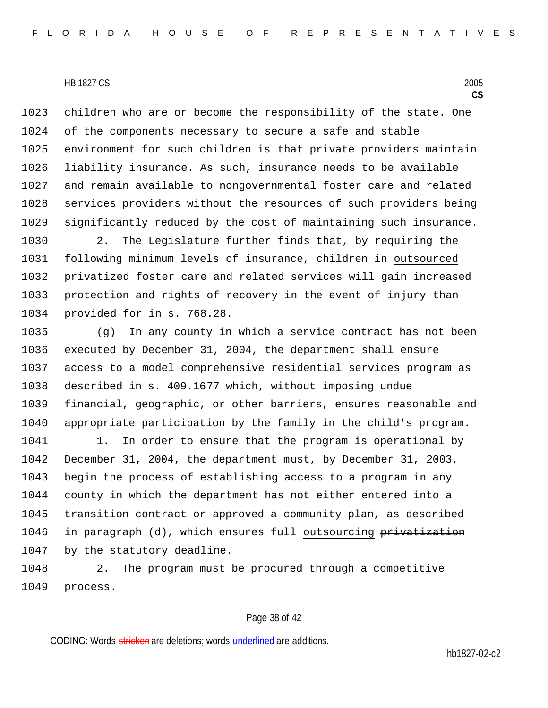1023 children who are or become the responsibility of the state. One 1024 of the components necessary to secure a safe and stable 1025 environment for such children is that private providers maintain 1026 liability insurance. As such, insurance needs to be available 1027 and remain available to nongovernmental foster care and related 1028 services providers without the resources of such providers being 1029 significantly reduced by the cost of maintaining such insurance.

1030 2. The Legislature further finds that, by requiring the 1031 following minimum levels of insurance, children in outsourced 1032 privatized foster care and related services will gain increased 1033 protection and rights of recovery in the event of injury than 1034 provided for in s. 768.28.

 (g) In any county in which a service contract has not been executed by December 31, 2004, the department shall ensure access to a model comprehensive residential services program as 1038 described in s. 409.1677 which, without imposing undue financial, geographic, or other barriers, ensures reasonable and 1040 appropriate participation by the family in the child's program.

1041 1. In order to ensure that the program is operational by 1042 December 31, 2004, the department must, by December 31, 2003, 1043 begin the process of establishing access to a program in any 1044 county in which the department has not either entered into a 1045 transition contract or approved a community plan, as described 1046 in paragraph (d), which ensures full outsourcing privatization 1047 by the statutory deadline.

1048 2. The program must be procured through a competitive 1049 process.

#### Page 38 of 42

CODING: Words stricken are deletions; words underlined are additions.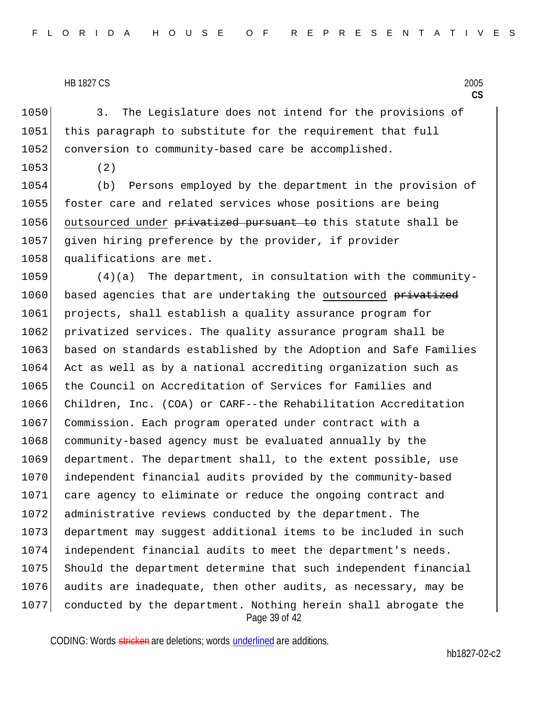1050 3. The Legislature does not intend for the provisions of 1051 this paragraph to substitute for the requirement that full 1052 conversion to community-based care be accomplished.

1053 (2)

1054 (b) Persons employed by the department in the provision of 1055 foster care and related services whose positions are being 1056 outsourced under privatized pursuant to this statute shall be 1057 given hiring preference by the provider, if provider 1058 qualifications are met.

Page 39 of 42 1059 (4)(a) The department, in consultation with the community-1060 based agencies that are undertaking the outsourced privatized 1061 projects, shall establish a quality assurance program for 1062 privatized services. The quality assurance program shall be 1063 based on standards established by the Adoption and Safe Families 1064 Act as well as by a national accrediting organization such as 1065 the Council on Accreditation of Services for Families and 1066 Children, Inc. (COA) or CARF--the Rehabilitation Accreditation 1067 Commission. Each program operated under contract with a 1068 community-based agency must be evaluated annually by the 1069 department. The department shall, to the extent possible, use 1070 independent financial audits provided by the community-based 1071 care agency to eliminate or reduce the ongoing contract and 1072 administrative reviews conducted by the department. The 1073 department may suggest additional items to be included in such 1074 independent financial audits to meet the department's needs. 1075 Should the department determine that such independent financial 1076 audits are inadequate, then other audits, as necessary, may be 1077 conducted by the department. Nothing herein shall abrogate the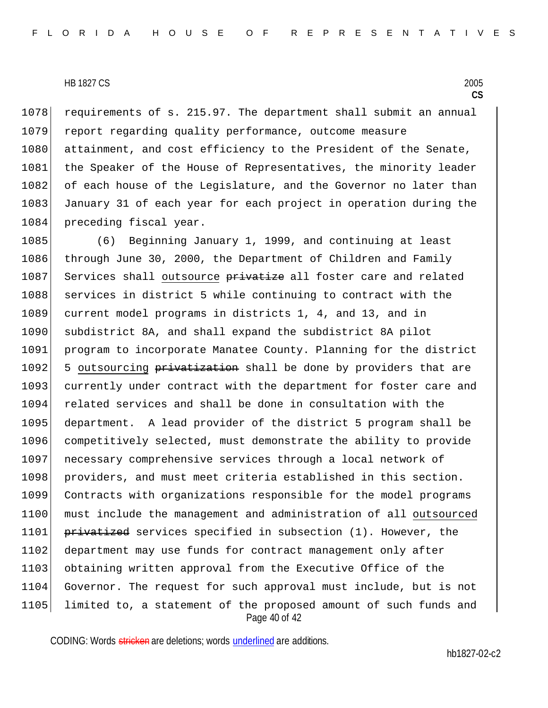1078 requirements of s. 215.97. The department shall submit an annual 1079 report regarding quality performance, outcome measure 1080 attainment, and cost efficiency to the President of the Senate, 1081 the Speaker of the House of Representatives, the minority leader 1082 of each house of the Legislature, and the Governor no later than 1083 January 31 of each year for each project in operation during the 1084 preceding fiscal year.

Page 40 of 42 1085 (6) Beginning January 1, 1999, and continuing at least 1086 through June 30, 2000, the Department of Children and Family 1087 Services shall outsource privatize all foster care and related 1088 services in district 5 while continuing to contract with the 1089 current model programs in districts 1, 4, and 13, and in 1090 subdistrict 8A, and shall expand the subdistrict 8A pilot 1091 program to incorporate Manatee County. Planning for the district 1092 5 outsourcing privatization shall be done by providers that are 1093 currently under contract with the department for foster care and 1094 related services and shall be done in consultation with the 1095 department. A lead provider of the district 5 program shall be 1096 competitively selected, must demonstrate the ability to provide 1097 necessary comprehensive services through a local network of 1098 | providers, and must meet criteria established in this section. 1099 Contracts with organizations responsible for the model programs 1100 must include the management and administration of all outsourced 1101 privatized services specified in subsection (1). However, the 1102 department may use funds for contract management only after 1103 obtaining written approval from the Executive Office of the 1104 Governor. The request for such approval must include, but is not 1105 | limited to, a statement of the proposed amount of such funds and

CODING: Words stricken are deletions; words underlined are additions.

hb1827-02-c2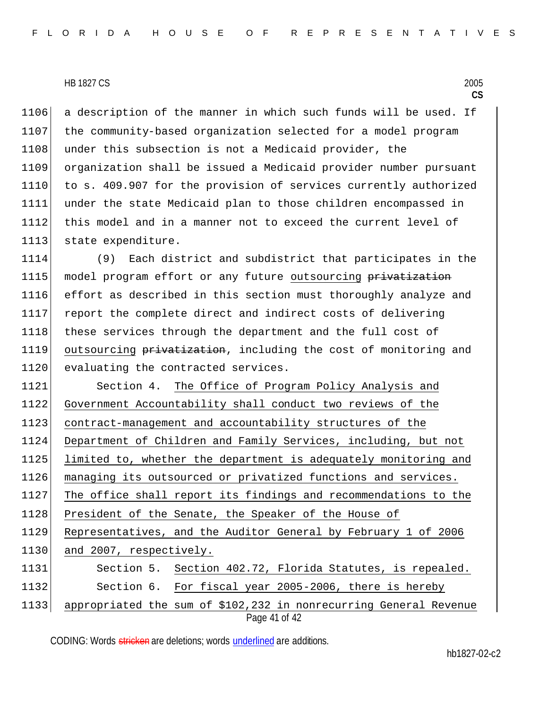1106 a description of the manner in which such funds will be used. If 1107 the community-based organization selected for a model program 1108 under this subsection is not a Medicaid provider, the 1109 organization shall be issued a Medicaid provider number pursuant 1110 to s. 409.907 for the provision of services currently authorized 1111 under the state Medicaid plan to those children encompassed in 1112 this model and in a manner not to exceed the current level of 1113 state expenditure.

1114 (9) Each district and subdistrict that participates in the 1115 model program effort or any future outsourcing privatization 1116 effort as described in this section must thoroughly analyze and 1117 report the complete direct and indirect costs of delivering 1118 these services through the department and the full cost of 1119 outsourcing privatization, including the cost of monitoring and 1120 evaluating the contracted services.

Page 41 of 42 1121 Section 4. The Office of Program Policy Analysis and 1122 Government Accountability shall conduct two reviews of the 1123 contract-management and accountability structures of the 1124 Department of Children and Family Services, including, but not 1125 limited to, whether the department is adequately monitoring and 1126 managing its outsourced or privatized functions and services. 1127 The office shall report its findings and recommendations to the 1128 President of the Senate, the Speaker of the House of 1129 Representatives, and the Auditor General by February 1 of 2006 1130 and 2007, respectively. 1131 Section 5. Section 402.72, Florida Statutes, is repealed. 1132 Section 6. For fiscal year 2005-2006, there is hereby 1133 appropriated the sum of \$102,232 in nonrecurring General Revenue

CODING: Words stricken are deletions; words underlined are additions.